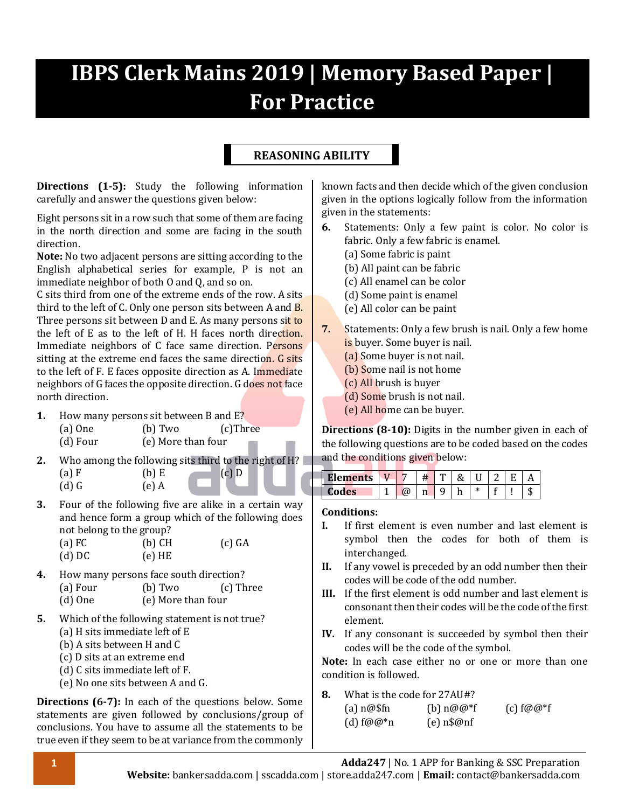# **IBPS Clerk Mains 2019 | Memory Based Paper | For Practice**

### **REASONING ABILITY**

**Directions (1-5):** Study the following information carefully and answer the questions given below:

Eight persons sit in a row such that some of them are facing in the north direction and some are facing in the south direction.

**Note:** No two adjacent persons are sitting according to the English alphabetical series for example, P is not an immediate neighbor of both O and Q, and so on.

C sits third from one of the extreme ends of the row. A sits third to the left of C. Only one person sits between A and **B**. Three persons sit between D and E. As many persons sit to the left of E as to the left of H. H faces north direction. Immediate neighbors of C face same direction. Persons sitting at the extreme end faces the same direction. G sits to the left of F. E faces opposite direction as A. Immediate neighbors of G faces the opposite direction. G does not face north direction.

- **1.** How many persons sit between B and E? (a) One (b) Two (c)Three (d) Four (e) More than four
- **2.** Who among the following sits third to the right of H? (a) F (b) E (c) D  $(d) G$   $(e) A$
- **3.** Four of the following five are alike in a certain way and hence form a group which of the following does not belong to the group?

| $(a)$ FC | $(b)$ CH | $(c)$ GA |
|----------|----------|----------|
| $(d)$ DC | $(e)$ HE |          |

- **4.** How many persons face south direction? (a) Four (b) Two (c) Three (d) One (e) More than four
- **5.** Which of the following statement is not true? (a) H sits immediate left of E
	- (b) A sits between H and C
	- (c) D sits at an extreme end
	- (d) C sits immediate left of F.
	- (e) No one sits between A and G.

**Directions (6-7):** In each of the questions below. Some statements are given followed by conclusions/group of conclusions. You have to assume all the statements to be true even if they seem to be at variance from the commonly known facts and then decide which of the given conclusion given in the options logically follow from the information given in the statements:

- **6.** Statements: Only a few paint is color. No color is fabric. Only a few fabric is enamel.
	- (a) Some fabric is paint
	- (b) All paint can be fabric
	- (c) All enamel can be color
	- (d) Some paint is enamel
	- (e) All color can be paint
- **7.** Statements: Only a few brush is nail. Only a few home is buyer. Some buyer is nail.
	- (a) Some buyer is not nail.
	- (b) Some nail is not home
	- (c) All brush is buyer
	- (d) Some brush is not nail.
	- (e) All home can be buyer.

**Directions (8-10):** Digits in the number given in each of the following questions are to be coded based on the codes and the conditions given below:

| $-1$ ement<br>шь |  |   |  |  |  |
|------------------|--|---|--|--|--|
| Codes<br>.,<br>ັ |  | n |  |  |  |

#### **Conditions:**

- **I.** If first element is even number and last element is symbol then the codes for both of them is interchanged.
- **II.** If any vowel is preceded by an odd number then their codes will be code of the odd number.
- **III.** If the first element is odd number and last element is consonant then their codes will be the code of the first element.
- **IV.** If any consonant is succeeded by symbol then their codes will be the code of the symbol.

**Note:** In each case either no or one or more than one condition is followed.

**8.** What is the code for 27AU#?

| $(a)$ n $@$ \$fn | (b) $n@@*f$  | $(c)$ f@@*f |
|------------------|--------------|-------------|
| (d) $f@@^*n$     | $(e)$ n\$@nf |             |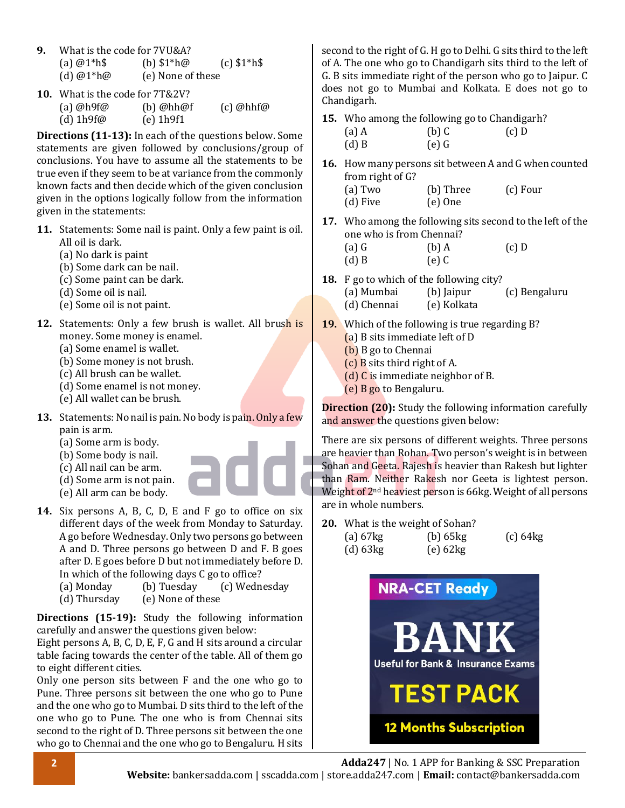- **9.** What is the code for 7VU&A? (a)  $@1^*h$$  (b)  $$1^*h@$  (c)  $$1^*h$$ (d)  $@1^*h@$  (e) None of these
- **10.** What is the code for 7T&2V?

| (a) $@h9f@$ | $(b)$ @hh@f | $(c)$ @hhf@ |
|-------------|-------------|-------------|
| (d) $1h9f@$ | $(e)$ 1h9f1 |             |

**Directions (11-13):** In each of the questions below. Some statements are given followed by conclusions/group of conclusions. You have to assume all the statements to be true even if they seem to be at variance from the commonly known facts and then decide which of the given conclusion given in the options logically follow from the information given in the statements:

- **11.** Statements: Some nail is paint. Only a few paint is oil. All oil is dark.
	- (a) No dark is paint
	- (b) Some dark can be nail.
	- (c) Some paint can be dark.
	- (d) Some oil is nail.
	- (e) Some oil is not paint.
- **12.** Statements: Only a few brush is wallet. All brush is money. Some money is enamel.
	- (a) Some enamel is wallet.
	- (b) Some money is not brush.
	- (c) All brush can be wallet.
	- (d) Some enamel is not money.
	- (e) All wallet can be brush.
- **13.** Statements: No nail is pain. No body is pain. Only a few pain is arm.
	- (a) Some arm is body.
	- (b) Some body is nail.
	- (c) All nail can be arm.
	- (d) Some arm is not pain.
	- (e) All arm can be body.
- **14.** Six persons A, B, C, D, E and F go to office on six different days of the week from Monday to Saturday. A go before Wednesday. Only two persons go between A and D. Three persons go between D and F. B goes after D. E goes before D but not immediately before D. In which of the following days C go to office?
	- (a) Monday (b) Tuesday (c) Wednesday
	- (d) Thursday (e) None of these

**Directions (15-19):** Study the following information carefully and answer the questions given below:

Eight persons A, B, C, D, E, F, G and H sits around a circular table facing towards the center of the table. All of them go to eight different cities.

Only one person sits between F and the one who go to Pune. Three persons sit between the one who go to Pune and the one who go to Mumbai. D sits third to the left of the one who go to Pune. The one who is from Chennai sits second to the right of D. Three persons sit between the one who go to Chennai and the one who go to Bengaluru. H sits second to the right of G. H go to Delhi. G sits third to the left of A. The one who go to Chandigarh sits third to the left of G. B sits immediate right of the person who go to Jaipur. C does not go to Mumbai and Kolkata. E does not go to Chandigarh.

**15.** Who among the following go to Chandigarh?

| $(a)$ A | $(b)$ C | $(c)$ D |
|---------|---------|---------|
|         |         |         |

| $(d)$ B | $(e)$ G |  |
|---------|---------|--|
|         |         |  |

**16.** How many persons sit between A and G when counted from right of G?

| (a) Two  | (b) Three | (c) Four |
|----------|-----------|----------|
| (d) Five | $(e)$ One |          |

- **17.** Who among the following sits second to the left of the one who is from Chennai?
	- (a) G (b) A (c) D
	- $(d) B$   $(e) C$
- **18.** F go to which of the following city? (a) Mumbai (b) Jaipur (c) Bengaluru (d) Chennai (e) Kolkata
- **19.** Which of the following is true regarding B? (a) B sits immediate left of D
	- (b) B go to Chennai
	- (c) B sits third right of A.
	- (d) C is immediate neighbor of B.
	- (e) B go to Bengaluru.

**Direction (20):** Study the following information carefully and answer the questions given below:

There are six persons of different weights. Three persons are heavier than Rohan. Two person's weight is in between Sohan and Geeta. Rajesh is heavier than Rakesh but lighter than Ram. Neither Rakesh nor Geeta is lightest person. Weight of 2<sup>nd</sup> heaviest person is 66kg. Weight of all persons are in whole numbers.

**20.** What is the weight of Sohan?

| (a) $67kg$    | $(b)$ 65 $kg$ | $(c)$ 64 $kg$ |
|---------------|---------------|---------------|
| $(d)$ 63 $kg$ | $(e)$ 62 $kg$ |               |

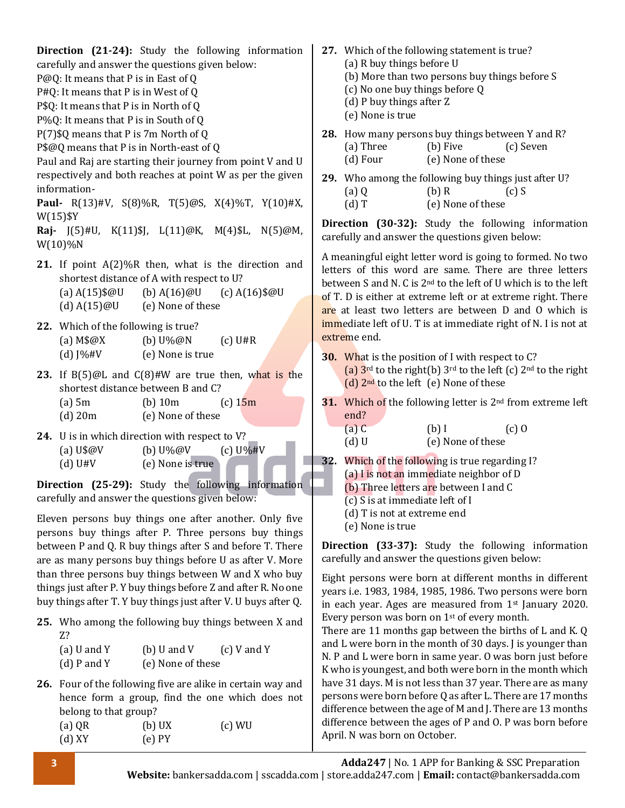**Direction (21-24):** Study the following information carefully and answer the questions given below: P@Q: It means that P is in East of Q P#Q: It means that P is in West of Q P\$Q: It means that P is in North of Q P%Q: It means that P is in South of Q P(7)\$Q means that P is 7m North of Q P\$@Q means that P is in North-east of Q Paul and Raj are starting their journey from point V and U respectively and both reaches at point W as per the given information-**Paul-** R(13)#V, S(8)%R, T(5)@S, X(4)%T, Y(10)#X, W(15)\$Y **Raj-** J(5)#U, K(11)\$J, L(11)@K, M(4)\$L, N(5)@M, W(10)%N **21.** If point A(2)%R then, what is the direction and shortest distance of A with respect to U? (a) A(15)\$@U (b) A(16)@U (c) A(16)\$@U (d)  $A(15)@U$  (e) None of these **22.** Which of the following is true? (a)  $M\$  \omega X (b)  $U\% \omega N$  (c)  $U\#R$ (d)  $\sqrt{W}$  (e) None is true **23.** If B(5)@L and C(8)#W are true then, what is the shortest distance between B and C? (a) 5m (b) 10m (c)  $15m$ (d) 20m (e) None of these **24.** U is in which direction with respect to V? (a)  $U\$  $@V$  (b)  $U\%$  $@V$  (c)  $U\%$ #V (d) U#V (e) None is true **Direction (25-29):** Study the following information carefully and answer the questions given below: Eleven persons buy things one after another. Only five persons buy things after P. Three persons buy things between P and Q. R buy things after S and before T. There are as many persons buy things before U as after V. More than three persons buy things between W and X who buy things just after P. Y buy things before Z and after R. No one buy things after T. Y buy things just after V. U buys after Q. **25.** Who among the following buy things between X and Z? (a) U and Y (b) U and V (c) V and Y (d) P and Y (e) None of these **26.** Four of the following five are alike in certain way and hence form a group, find the one which does not belong to that group? (a)  $QR$  (b)  $UX$  (c)  $WU$ (d) XY (e) PY **27.** Which of the following statement is true? (a) R buy things before U (b) More than two persons buy things before S (c) No one buy things before Q (d) P buy things after Z (e) None is true **28.** How many persons buy things between Y and R? (a) Three (b) Five (c) Seven (d) Four (e) None of these **29.** Who among the following buy things just after U? (a)  $0$  (b) R (c) S (d) T (e) None of these **Direction (30-32):** Study the following information carefully and answer the questions given below: A meaningful eight letter word is going to formed. No two letters of this word are same. There are three letters between S and N. C is 2nd to the left of U which is to the left of T. D is either at extreme left or at extreme right. There are at least two letters are between D and O which is immediate left of U. T is at immediate right of N. I is not at extreme end. **30.** What is the position of I with respect to C? (a)  $3^{rd}$  to the right(b)  $3^{rd}$  to the left (c)  $2^{nd}$  to the right  $(d)$  2<sup>nd</sup> to the left (e) None of these **31.** Which of the following letter is 2<sup>nd</sup> from extreme left end? (a)  $C$  (b) I (c) O (d) U (e) None of these **32.** Which of the following is true regarding I? (a) I is not an immediate neighbor of D (b) Three letters are between I and C  $(c)$  S is at immediate left of I (d) T is not at extreme end (e) None is true **Direction (33-37):** Study the following information carefully and answer the questions given below: Eight persons were born at different months in different years i.e. 1983, 1984, 1985, 1986. Two persons were born in each year. Ages are measured from 1st January 2020. Every person was born on 1st of every month. There are 11 months gap between the births of L and K. Q and L were born in the month of 30 days. J is younger than N. P and L were born in same year. O was born just before K who is youngest, and both were born in the month which have 31 days. M is not less than 37 year. There are as many persons were born before Q as after L. There are 17 months difference between the age of M and J. There are 13 months difference between the ages of P and O. P was born before April. N was born on October.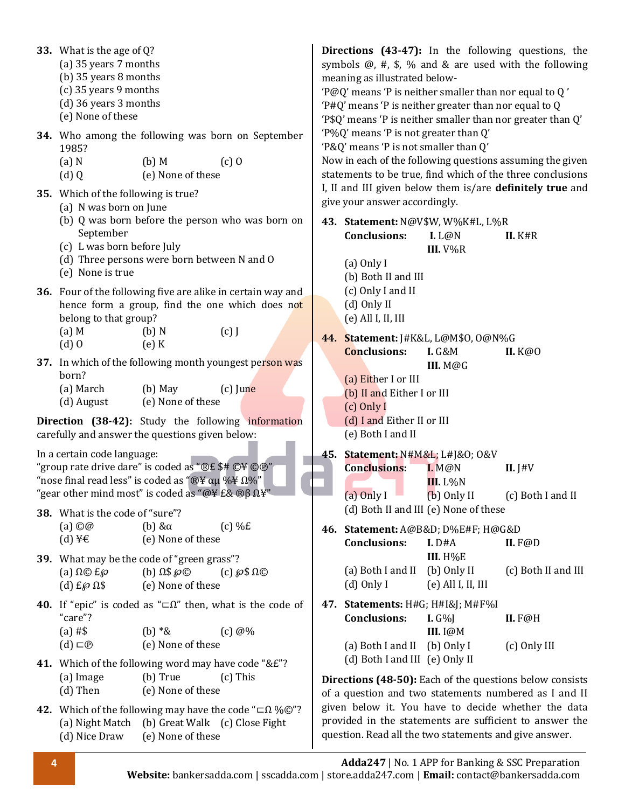| 33. What is the age of $Q$ ?<br>(a) 35 years 7 months<br>(b) 35 years 8 months<br>(c) 35 years 9 months<br>(d) 36 years 3 months<br>(e) None of these<br>1985?<br>(a) N<br>(d)Q<br>35. Which of the following is true?<br>(a) N was born on June             | $(b)$ M<br>(e) None of these                 | 34. Who among the following was born on September<br>$(c)$ O                                                              | meaning as illustrated below-<br>'P@Q' means 'P is neither smaller than nor equal to Q'<br>'P#Q' means 'P is neither greater than nor equal to Q<br>'P\$Q' means 'P is neither smaller than nor greater than Q'<br>'P%Q' means 'P is not greater than Q'<br>'P&Q' means 'P is not smaller than Q'<br>give your answer accordingly. |                                                        | Directions (43-47): In the following questions, the<br>symbols $@$ , #, \$, % and & are used with the following<br>Now in each of the following questions assuming the given<br>statements to be true, find which of the three conclusions<br>I, II and III given below them is/are definitely true and |
|--------------------------------------------------------------------------------------------------------------------------------------------------------------------------------------------------------------------------------------------------------------|----------------------------------------------|---------------------------------------------------------------------------------------------------------------------------|------------------------------------------------------------------------------------------------------------------------------------------------------------------------------------------------------------------------------------------------------------------------------------------------------------------------------------|--------------------------------------------------------|---------------------------------------------------------------------------------------------------------------------------------------------------------------------------------------------------------------------------------------------------------------------------------------------------------|
| September<br>(c) L was born before July<br>(d) Three persons were born between N and O<br>(e) None is true                                                                                                                                                   |                                              | (b) Q was born before the person who was born on                                                                          | 43. Statement: N@V\$W, W%K#L, L%R<br><b>Conclusions:</b><br>$(a)$ Only I<br>(b) Both II and III                                                                                                                                                                                                                                    | L <sub>0</sub><br>III. $V\%R$                          | II. K#R                                                                                                                                                                                                                                                                                                 |
| belong to that group?<br>$(a)$ M<br>$(d)$ 0                                                                                                                                                                                                                  | (b) N<br>$(e)$ K                             | 36. Four of the following five are alike in certain way and<br>hence form a group, find the one which does not<br>$(c)$ J | (c) Only I and II<br>(d) Only II<br>$(e)$ All I, II, III<br>44. Statement: J#K&L, L@M\$0, O@N%G                                                                                                                                                                                                                                    |                                                        |                                                                                                                                                                                                                                                                                                         |
| born?<br>(a) March<br>(d) August                                                                                                                                                                                                                             | $(b)$ May<br>(e) None of these               | 37. In which of the following month youngest person was<br>$(c)$ June                                                     | <b>Conclusions:</b><br>(a) Either I or III<br>(b) II and Either I or III<br>(c) Only I                                                                                                                                                                                                                                             | <b>I.</b> G&M<br>III. M@G                              | II. K@O                                                                                                                                                                                                                                                                                                 |
| carefully and answer the questions given below:                                                                                                                                                                                                              |                                              | Direction (38-42): Study the following information                                                                        | (d) I and Either II or III<br>(e) Both I and II                                                                                                                                                                                                                                                                                    |                                                        |                                                                                                                                                                                                                                                                                                         |
| In a certain code language:<br>"group rate drive dare" is coded as "®£ \$# ©\ @ "<br>"nose final read less" is coded as " $\mathbb{R}$ ¥ $\alpha\mu$ %¥ $\Omega$ %"<br>"gear other mind most" is coded as "@\\\eqsac{E&\\\ \\eqsamp{B} $\Omega$ \\eqsac{Y}}" |                                              |                                                                                                                           | 45. Statement: N#M&L L#J&O O&V<br><b>Conclusions:</b><br>$(a)$ Only I                                                                                                                                                                                                                                                              | I. M@N<br>$II. L\%N$<br>(b) Only II                    | II. $J#V$<br>(c) Both I and II                                                                                                                                                                                                                                                                          |
| 38. What is the code of "sure"?<br>$(a)$ $\odot \odot$<br>$(d)$ ¥€                                                                                                                                                                                           | (b) $\&\alpha$<br>(e) None of these          | $(c)$ %£                                                                                                                  | (d) Both II and III (e) None of these<br>46. Statement: A@B&D D%E#F; H@G&D<br><b>Conclusions:</b>                                                                                                                                                                                                                                  | I. D#A                                                 | II. $F@D$                                                                                                                                                                                                                                                                                               |
| 39. What may be the code of "green grass"?<br>(a) $\Omega \odot E\wp$<br>(d) $E\wp \Omega$ \$                                                                                                                                                                | (b) $\Omega$ \$ $\wp$ ©<br>(e) None of these | (c) $\wp$ \$ $\Omega$ ©                                                                                                   | (a) Both I and II<br>$(d)$ Only I                                                                                                                                                                                                                                                                                                  | <b>III.</b> Н%Е<br>(b) Only II<br>$(e)$ All I, II, III | (c) Both II and III                                                                                                                                                                                                                                                                                     |
| "care"?<br>$(a)$ #\$                                                                                                                                                                                                                                         | (b) $*$ &                                    | <b>40.</b> If "epic" is coded as " $\Box \Omega$ " then, what is the code of<br>$(c)$ @%                                  | 47. Statements: H#G; H#I&J M#F%I<br><b>Conclusions:</b>                                                                                                                                                                                                                                                                            | $I. G\%I$<br><b>III.</b> I@M                           | $II. F@H$                                                                                                                                                                                                                                                                                               |
| $(d) \sqsubset \mathbb{D}$<br>41. Which of the following word may have code "&£"?                                                                                                                                                                            | (e) None of these                            |                                                                                                                           | (a) Both I and II<br>(d) Both I and III (e) Only II                                                                                                                                                                                                                                                                                | (b) Only I                                             | (c) Only III                                                                                                                                                                                                                                                                                            |
| (a) Image<br>(d) Then                                                                                                                                                                                                                                        | (b) True<br>(e) None of these                | $(c)$ This                                                                                                                |                                                                                                                                                                                                                                                                                                                                    |                                                        | Directions (48-50): Each of the questions below consists<br>of a question and two statements numbered as I and II<br>given below it. You have to decide whether the data                                                                                                                                |
| (a) Night Match (b) Great Walk (c) Close Fight<br>(d) Nice Draw                                                                                                                                                                                              | (e) None of these                            | 42. Which of the following may have the code " $\Box \Omega$ % $\odot$ "?                                                 | question. Read all the two statements and give answer.                                                                                                                                                                                                                                                                             |                                                        | provided in the statements are sufficient to answer the                                                                                                                                                                                                                                                 |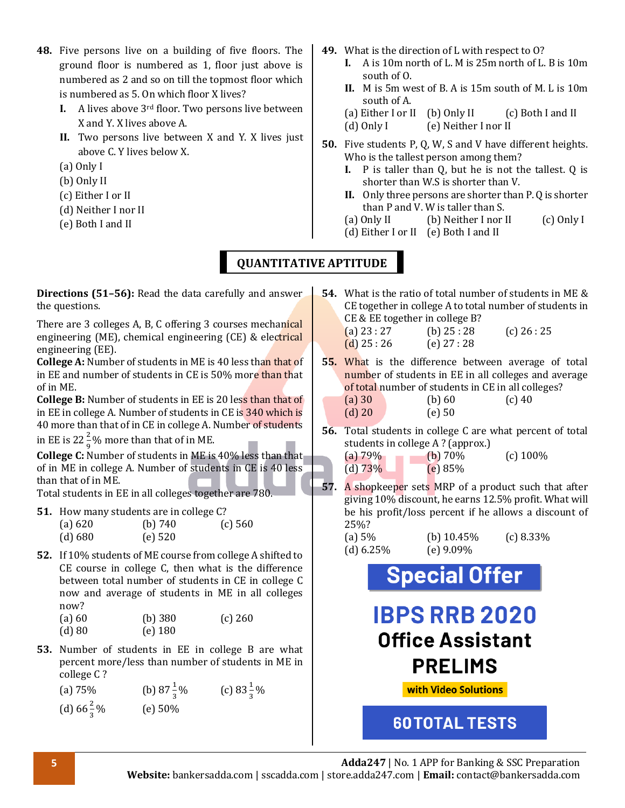- **48.** Five persons live on a building of five floors. The ground floor is numbered as 1, floor just above is numbered as 2 and so on till the topmost floor which is numbered as 5. On which floor X lives?
	- **I.** A lives above 3rd floor. Two persons live between X and Y. X lives above A.
	- **II.** Two persons live between X and Y. X lives just above C. Y lives below X.
	- (a) Only I
	- (b) Only II
	- (c) Either I or II
	- (d) Neither I nor II
	- (e) Both I and II
- **49.** What is the direction of L with respect to O?
	- **I.** A is 10m north of L. M is 25m north of L. B is 10m south of O.
	- **II.** M is 5m west of B. A is 15m south of M. L is 10m south of A.
	- (a) Either I or II (b) Only II (c) Both I and II
	- (d) Only I (e) Neither I nor II
- **50.** Five students P, Q, W, S and V have different heights. Who is the tallest person among them?
	- **I.** P is taller than Q, but he is not the tallest. Q is shorter than W.S is shorter than V.
	- **II.** Only three persons are shorter than P. Q is shorter than P and V. W is taller than S.
	- (a) Only II (b) Neither I nor II (c) Only I
	- (d) Either I or II (e) Both I and II

### **QUANTITATIVE APTITUDE**

**Directions (51–56):** Read the data carefully and answer the questions.

There are 3 colleges A, B, C offering 3 courses mechanical engineering (ME), chemical engineering (CE) & electrical engineering (EE).

**College A:** Number of students in ME is 40 less than that of in EE and number of students in CE is 50% more than that of in ME.

**College B:** Number of students in EE is 20 less than that of in EE in college A. Number of students in CE is 340 which is 40 more than that of in CE in college A. Number of students

in EE is 22 $\frac{2}{9}$ % more than that of in ME.

9 **College C:** Number of students in ME is 40% less than that of in ME in college A. Number of students in CE is 40 less than that of in ME.

Total students in EE in all colleges together are 780.

- **51.** How many students are in college C? (a) 620 (b) 740 (c) 560 (d) 680 (e) 520
- **52.** If 10% students of ME course from college A shifted to CE course in college C, then what is the difference between total number of students in CE in college C now and average of students in ME in all colleges now?<br>(a)  $60$  $(b)$  380  $(c)$  260

| (α) ∪∪   | LNI JOA   |  |
|----------|-----------|--|
| $(d)$ 80 | $(e)$ 180 |  |

**53.** Number of students in EE in college B are what percent more/less than number of students in ME in college C ?

| (a) $75%$             | (b) $87\frac{1}{3}\%$ | (c) $83\frac{1}{3}\%$ |
|-----------------------|-----------------------|-----------------------|
| (d) $66\frac{2}{3}\%$ | (e) 50%               |                       |

- **54.** What is the ratio of total number of students in ME & CE together in college A to total number of students in CE & EE together in college B? (a)  $23:27$  (b)  $25:28$  (c)  $26:25$ (d) 25 : 26 (e) 27 : 28
- **55.** What is the difference between average of total number of students in EE in all colleges and average of total number of students in CE in all colleges? (a) 30 (b) 60 (c) 40 (d) 20 (e) 50
- **56.** Total students in college C are what percent of total students in college A ? (approx.)

| (a) 79%    | (b) $70\%$ | $(c)$ 100% |
|------------|------------|------------|
| (d) $73\%$ | (e) 85%    |            |

**57.** A shopkeeper sets MRP of a product such that after giving 10% discount, he earns 12.5% profit. What will be his profit/loss percent if he allows a discount of 25%?

| (a) $5%$     | (b) $10.45\%$ | $(c) 8.33\%$ |
|--------------|---------------|--------------|
| (d) $6.25\%$ | (e) $9.09\%$  |              |

**Special Offer** 

# **IBPS RRB 2020 Office Assistant PRELIMS**

**with Video Solutions** 

**60TOTAL TESTS**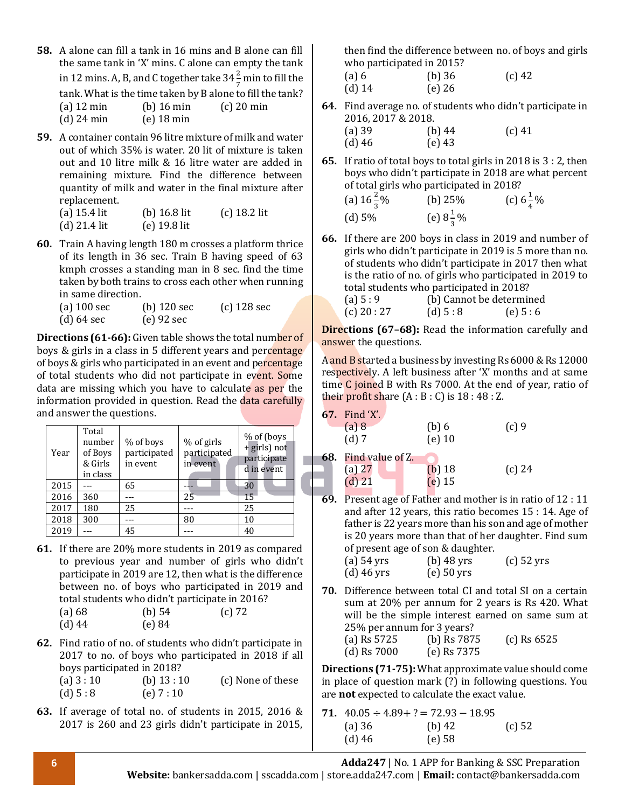- **58.** A alone can fill a tank in 16 mins and B alone can fill the same tank in 'X' mins. C alone can empty the tank in 12 mins. A, B, and C together take 34 $\frac{2}{7}$  min to fill the tank. What is the time taken by B alone to fill the tank? (a) 12 min (b) 16 min (c) 20 min (d) 24 min (e) 18 min
- **59.** A container contain 96 litre mixture of milk and water out of which 35% is water. 20 lit of mixture is taken out and 10 litre milk & 16 litre water are added in remaining mixture. Find the difference between quantity of milk and water in the final mixture after replacement.

| (a) 15.4 lit | (b) $16.8$ lit | $(c)$ 18.2 lit |
|--------------|----------------|----------------|
| (d) 21.4 lit | $(e)$ 19.8 lit |                |

- **60.** Train A having length 180 m crosses a platform thrice of its length in 36 sec. Train B having speed of 63 kmph crosses a standing man in 8 sec. find the time taken by both trains to cross each other when running in same direction.
	- (a) 100 sec (b) 120 sec (c) 128 sec (d) 64 sec (e) 92 sec

**Directions (61-66):** Given table shows the total number of boys & girls in a class in 5 different years and percentage of boys & girls who participated in an event and percentage of total students who did not participate in event. Some data are missing which you have to calculate as per the information provided in question. Read the data carefully and answer the questions.

| Year | Total<br>number<br>of Boys<br>& Girls<br>in class | % of boys<br>participated<br>in event | % of girls<br>participated<br>in event | $%$ of (boys<br>+ girls) not<br>participate<br>d in event |
|------|---------------------------------------------------|---------------------------------------|----------------------------------------|-----------------------------------------------------------|
| 2015 |                                                   | 65                                    |                                        | 30                                                        |
| 2016 | 360                                               |                                       | 25                                     | 15                                                        |
| 2017 | 180                                               | 25                                    |                                        | 25                                                        |
| 2018 | 300                                               |                                       | 80                                     | 10                                                        |
| 2019 |                                                   | 45                                    |                                        | 40                                                        |

**61.** If there are 20% more students in 2019 as compared to previous year and number of girls who didn't participate in 2019 are 12, then what is the difference between no. of boys who participated in 2019 and total students who didn't participate in 2016?<br>(a)  $69$ <br>(a)  $72$ (a)  $68$  (b)  $54$  (c)  $72$ 

| taj oo   | (D) 54 |
|----------|--------|
| $(d)$ 44 | (e) 84 |

**62.** Find ratio of no. of students who didn't participate in 2017 to no. of boys who participated in 2018 if all boys participated in 2018? (a)  $3:10$  (b)  $13:10$  (c) None of these

(d)  $5:8$  (e)  $7:10$ 

**63.** If average of total no. of students in 2015, 2016 & 2017 is 260 and 23 girls didn't participate in 2015,

then find the difference between no. of boys and girls who participated in 2015?

| (a) 6    | $(b)$ 36 | $(c)$ 42 |
|----------|----------|----------|
| $(d)$ 14 | $(e)$ 26 |          |

**64.** Find average no. of students who didn't participate in 2016, 2017 & 2018.

(a) 39 (b) 44 (c) 41 (d) 46 (e) 43

**65.** If ratio of total boys to total girls in 2018 is 3 : 2, then boys who didn't participate in 2018 are what percent of total girls who participated in 2018?

| (a) $16\frac{2}{3}\%$ | (b) $25%$            | (c) $6\frac{1}{4}\%$ |
|-----------------------|----------------------|----------------------|
| (d) 5%                | (e) $8\frac{1}{3}\%$ |                      |

**66.** If there are 200 boys in class in 2019 and number of girls who didn't participate in 2019 is 5 more than no. of students who didn't participate in 2017 then what is the ratio of no. of girls who participated in 2019 to total students who participated in 2018?

| (a) $5:9$   | (b) Cannot be determined |           |
|-------------|--------------------------|-----------|
| (c) $20:27$ | (d) 5:8                  | (e) $5:6$ |

**Directions (67–68):** Read the information carefully and answer the questions.

A and B started a business by investing Rs 6000 & Rs 12000 respectively. A left business after 'X' months and at same time C joined B with Rs 7000. At the end of year, ratio of their profit share  $(A : B : C)$  is  $18 : 48 : Z$ .

|     | <b>67.</b> Find 'X'.<br>(a) 8<br>$(d)$ 7          | (b)6<br>$(e)$ 10                         | $(c)$ 9 |
|-----|---------------------------------------------------|------------------------------------------|---------|
|     | <b>68.</b> Find value of Z.<br>(a) 27<br>$(d)$ 21 | $(b)$ 18<br>$(e)$ 15                     | (c) 24  |
| r n |                                                   | Duanna an aC Dathau an duathau in in uat |         |

**69.** Present age of Father and mother is in ratio of 12 : 11 and after 12 years, this ratio becomes 15 : 14. Age of father is 22 years more than his son and age of mother is 20 years more than that of her daughter. Find sum of present age of son & daughter.

| $(a)$ 54 yrs | $(b)$ 48 yrs | $(c)$ 52 yrs |
|--------------|--------------|--------------|
| $(d)$ 46 yrs | $(e)$ 50 yrs |              |
|              |              |              |

**70.** Difference between total CI and total SI on a certain sum at 20% per annum for 2 years is Rs 420. What will be the simple interest earned on same sum at 25% per annum for 3 years? (a) Rs 5725 (b) Rs 7875 (c) Rs 6525 (d) Rs 7000 (e) Rs 7375

**Directions (71-75):**What approximate value should come in place of question mark (?) in following questions. You are **not** expected to calculate the exact value.

**71.**  $40.05 \div 4.89 + ? = 72.93 - 18.95$ (a) 36 (b) 42 (c) 52 (d) 46 (e) 58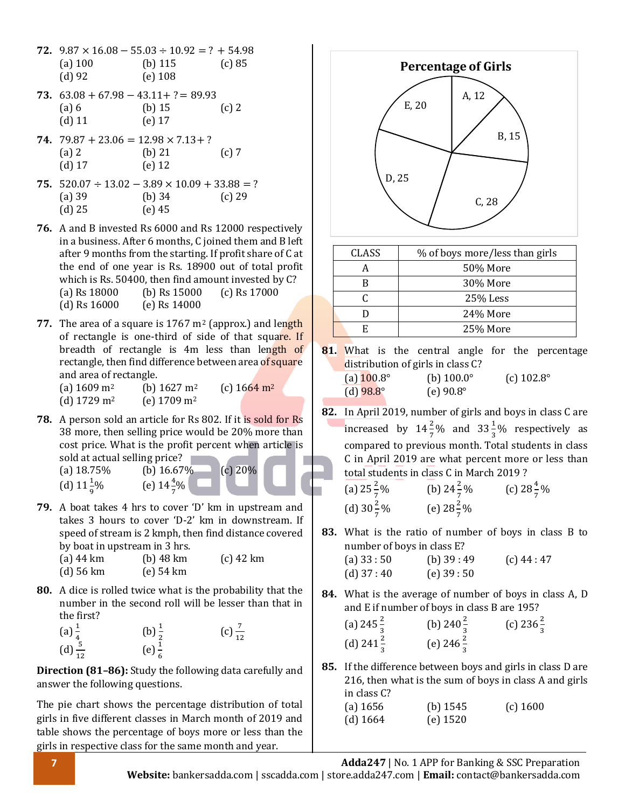- **72.**  $9.87 \times 16.08 55.03 \div 10.92 = ? + 54.98$ (a) 100 (b) 115 (c) 85 (d) 92 (e) 108
- **73.** 63.08 + 67.98 − 43.11+ ?= 89.93 (a) 6 (b) 15 (c) 2 (d) 11 (e) 17
- 74.  $79.87 + 23.06 = 12.98 \times 7.13 + ?$ (a) 2 (b) 21 (c) 7 (d) 17 (e) 12
- **75.** 520.07 ÷ 13.02 − 3.89 × 10.09 + 33.88 = ? (a) 39 (b) 34 (c) 29 (d) 25 (e) 45
- **76.** A and B invested Rs 6000 and Rs 12000 respectively in a business. After 6 months, C joined them and B left after 9 months from the starting. If profit share of C at the end of one year is Rs. 18900 out of total profit which is Rs. 50400, then find amount invested by C? (a) Rs 18000 (b) Rs 15000 (c) Rs 17000 (d) Rs 16000 (e) Rs 14000
- **77.** The area of a square is 1767 m<sup>2</sup> (approx.) and length of rectangle is one-third of side of that square. If breadth of rectangle is 4m less than length of rectangle, then find difference between area of square and area of rectangle.
	- (a)  $1609 \text{ m}^2$  (b)  $1627 \text{ m}^2$  (c)  $1664 \text{ m}^2$
	- (d) 1729 m<sup>2</sup> (e) 1709 m<sup>2</sup>
- **78.** A person sold an article for Rs 802. If it is sold for Rs 38 more, then selling price would be 20% more than cost price. What is the profit percent when article is sold at actual selling price?
	- (a)  $18.75\%$  (b)  $16.67\%$  (c)  $20\%$ (d)  $11\frac{1}{9}$ 
		-
		- % (e)  $14\frac{4}{7}\%$
- **79.** A boat takes 4 hrs to cover 'D' km in upstream and takes 3 hours to cover 'D-2' km in downstream. If speed of stream is 2 kmph, then find distance covered by boat in upstream in 3 hrs.

| $(a)$ 44 km | $(b)$ 48 km | $(c)$ 42 km |
|-------------|-------------|-------------|
| (d) 56 km   | $(e)$ 54 km |             |

- **80.** A dice is rolled twice what is the probability that the number in the second roll will be lesser than that in the first?
	- (a)  $\frac{1}{4}$ <br>(d)  $\frac{5}{12}$ (b)  $\frac{1}{2}$  (c)  $\frac{7}{12}$  (c)  $\frac{7}{12}$

**Direction (81–86):** Study the following data carefully and answer the following questions.

The pie chart shows the percentage distribution of total girls in five different classes in March month of 2019 and table shows the percentage of boys more or less than the girls in respective class for the same month and year.



| <b>CLASS</b> | % of boys more/less than girls |
|--------------|--------------------------------|
|              | 50% More                       |
|              | 30% More                       |
|              | 25% Less                       |
|              | 24% More                       |
|              | 25% More                       |
|              |                                |

**81.** What is the central angle for the percentage distribution of girls in class C? (a)  $100.8^\circ$  (b)  $100.0^\circ$  (c)  $102.8^\circ$ 

| $\sim$ |                    |  |                    |
|--------|--------------------|--|--------------------|
|        | (d) $98.8^{\circ}$ |  | (e) $90.8^{\circ}$ |

- **82.** In April 2019, number of girls and boys in class C are increased by  $14\frac{2}{7}\%$  and  $33\frac{1}{3}\%$  respectively as compared to previous month. Total students in class C in April 2019 are what percent more or less than total students in class C in March 2019 ?
	- (a)  $25\frac{2}{7}$  $\frac{2}{7}\%$  (b)  $24\frac{2}{7}\%$  (c)  $28\frac{4}{7}\%$ (d)  $30\frac{2}{7}\%$  (e)  $28\frac{2}{7}\%$
- **83.** What is the ratio of number of boys in class B to number of boys in class E?

| (a) $33:50$ | (b) $39:49$ | $(c)$ 44 : 47 |
|-------------|-------------|---------------|
| (d) $37:40$ | (e) $39:50$ |               |

**84.** What is the average of number of boys in class A, D and E if number of boys in class B are 195?

| (a) $245\frac{2}{3}$  | (b) 240 $\frac{2}{3}$ | (c) $236\frac{2}{3}$ |
|-----------------------|-----------------------|----------------------|
| (d) 241 $\frac{2}{3}$ | (e) $246\frac{2}{3}$  |                      |

**85.** If the difference between boys and girls in class D are 216, then what is the sum of boys in class A and girls in class C?

| $(a)$ 1656 | (b) $1545$ | $(c)$ 1600 |
|------------|------------|------------|
| (d) $1664$ | $(e)$ 1520 |            |

**7 Adda247** | No. 1 APP for Banking & SSC Preparation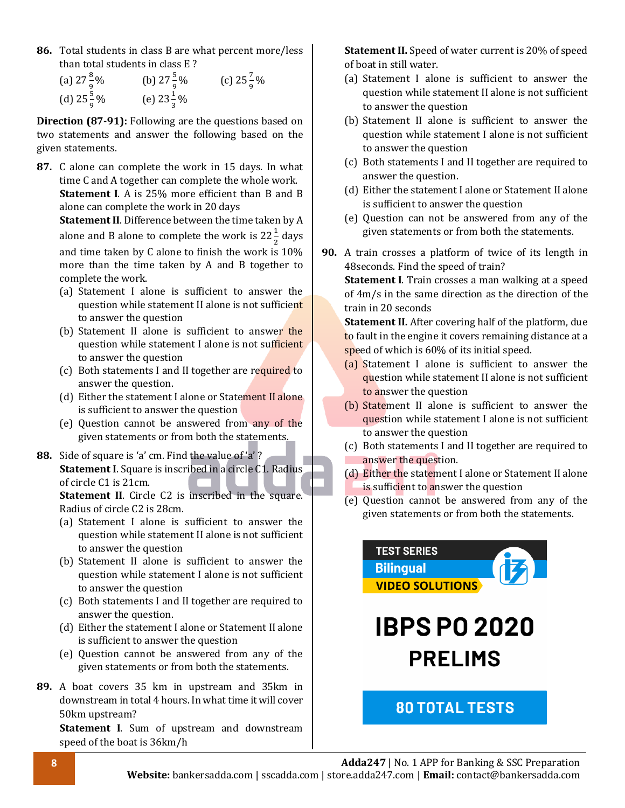**86.** Total students in class B are what percent more/less than total students in class E ?

| (a) $27\frac{8}{9}\%$ | (b) $27\frac{5}{9}\%$ | (c) $25\frac{7}{9}\%$ |
|-----------------------|-----------------------|-----------------------|
| (d) $25\frac{5}{9}\%$ | (e) $23\frac{1}{3}\%$ |                       |

**Direction (87-91):** Following are the questions based on two statements and answer the following based on the given statements.

**87.** C alone can complete the work in 15 days. In what time C and A together can complete the whole work. **Statement I**. A is 25% more efficient than B and B alone can complete the work in 20 days

**Statement II**. Difference between the time taken by A alone and B alone to complete the work is 22 $\frac{1}{2}$  days and time taken by C alone to finish the work is 10% more than the time taken by A and B together to complete the work.

- (a) Statement I alone is sufficient to answer the question while statement II alone is not sufficient to answer the question
- (b) Statement II alone is sufficient to answer the question while statement I alone is not sufficient to answer the question
- (c) Both statements I and II together are required to answer the question.
- (d) Either the statement I alone or Statement II alone is sufficient to answer the question
- (e) Question cannot be answered from any of the given statements or from both the statements.
- **88.** Side of square is 'a' cm. Find the value of 'a' ? **Statement I**. Square is inscribed in a circle C1. Radius of circle C1 is 21cm.

**Statement II.** Circle C2 is inscribed in the square. Radius of circle C2 is 28cm.

- (a) Statement I alone is sufficient to answer the question while statement II alone is not sufficient to answer the question
- (b) Statement II alone is sufficient to answer the question while statement I alone is not sufficient to answer the question
- (c) Both statements I and II together are required to answer the question.
- (d) Either the statement I alone or Statement II alone is sufficient to answer the question
- (e) Question cannot be answered from any of the given statements or from both the statements.
- **89.** A boat covers 35 km in upstream and 35km in downstream in total 4 hours. In what time it will cover 50km upstream?

**Statement I**. Sum of upstream and downstream speed of the boat is 36km/h

**Statement II.** Speed of water current is 20% of speed of boat in still water.

- (a) Statement I alone is sufficient to answer the question while statement II alone is not sufficient to answer the question
- (b) Statement II alone is sufficient to answer the question while statement I alone is not sufficient to answer the question
- (c) Both statements I and II together are required to answer the question.
- (d) Either the statement I alone or Statement II alone is sufficient to answer the question
- (e) Question can not be answered from any of the given statements or from both the statements.
- **90.** A train crosses a platform of twice of its length in 48seconds. Find the speed of train?

**Statement I**. Train crosses a man walking at a speed of 4m/s in the same direction as the direction of the train in 20 seconds

**Statement II.** After covering half of the platform, due to fault in the engine it covers remaining distance at a speed of which is 60% of its initial speed.

- (a) Statement I alone is sufficient to answer the question while statement II alone is not sufficient to answer the question
- (b) Statement II alone is sufficient to answer the question while statement I alone is not sufficient to answer the question
- (c) Both statements I and II together are required to answer the question.
- (d) Either the statement I alone or Statement II alone is sufficient to answer the question
- (e) Question cannot be answered from any of the given statements or from both the statements.



**IBPS PO 2020 PRELIMS** 

### **80 TOTAL TESTS**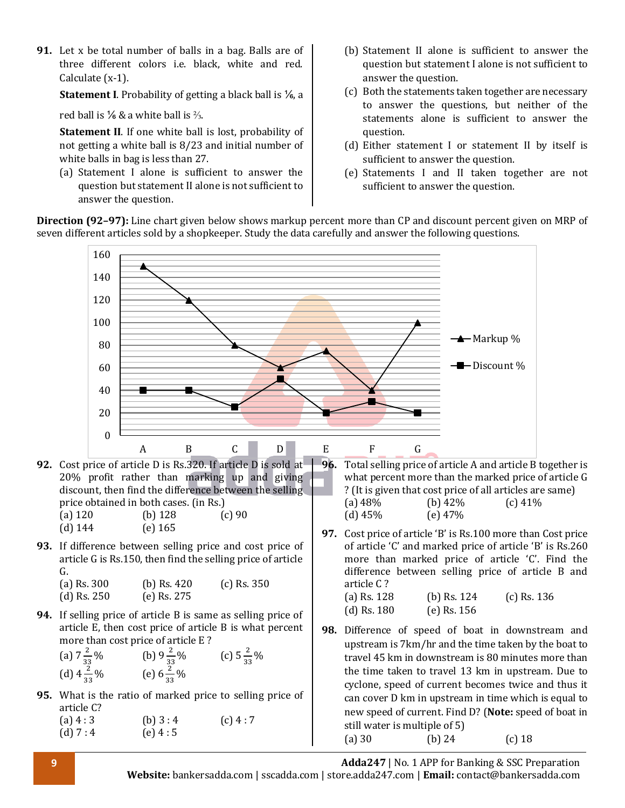**91.** Let x be total number of balls in a bag. Balls are of three different colors i.e. black, white and red. Calculate (x-1).

**Statement I**. Probability of getting a black ball is ⅙, a

red ball is  $\frac{1}{6}$  & a white ball is  $\frac{2}{3}$ .

**Statement II**. If one white ball is lost, probability of not getting a white ball is 8/23 and initial number of white balls in bag is less than 27.

(a) Statement I alone is sufficient to answer the question but statement II alone is not sufficient to answer the question.

- (b) Statement II alone is sufficient to answer the question but statement I alone is not sufficient to answer the question.
- (c) Both the statements taken together are necessary to answer the questions, but neither of the statements alone is sufficient to answer the question.
- (d) Either statement I or statement II by itself is sufficient to answer the question.
- (e) Statements I and II taken together are not sufficient to answer the question.

**Direction (92–97):** Line chart given below shows markup percent more than CP and discount percent given on MRP of seven different articles sold by a shopkeeper. Study the data carefully and answer the following questions.



**9 Adda247** | No. 1 APP for Banking & SSC Preparation **Website:** bankersadda.com | sscadda.com | store.adda247.com | **Email:** contact@bankersadda.com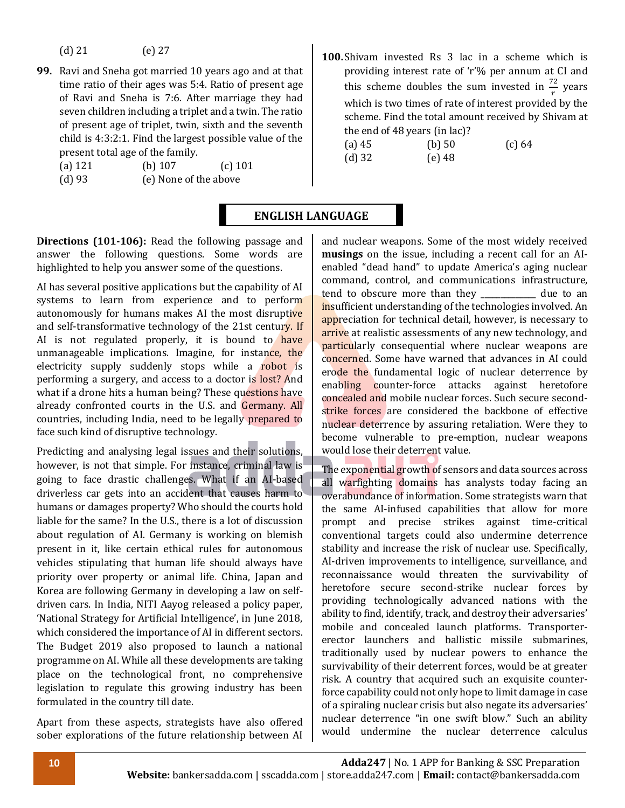(d) 21 (e) 27

- **99.** Ravi and Sneha got married 10 years ago and at that time ratio of their ages was 5:4. Ratio of present age of Ravi and Sneha is 7:6. After marriage they had seven children including a triplet and a twin. The ratio of present age of triplet, twin, sixth and the seventh child is 4:3:2:1. Find the largest possible value of the present total age of the family.
	- (a) 121 (b) 107 (c) 101
	- (d) 93 (e) None of the above

**100.**Shivam invested Rs 3 lac in a scheme which is providing interest rate of 'r'% per annum at CI and this scheme doubles the sum invested in  $\frac{72}{r}$  years which is two times of rate of interest provided by the scheme. Find the total amount received by Shivam at the end of 48 years (in lac)?

| $(a)$ 45 | (b) 50   | (c) 64 |
|----------|----------|--------|
| $(d)$ 32 | $(e)$ 48 |        |

#### **ENGLISH LANGUAGE**

**Directions (101-106):** Read the following passage and answer the following questions. Some words are highlighted to help you answer some of the questions.

AI has several positive applications but the capability of AI systems to learn from experience and to perform autonomously for humans makes AI the most disruptive and self-transformative technology of the 21st century. If AI is not regulated properly, it is bound to have unmanageable implications. Imagine, for instance, the electricity supply suddenly stops while a robot is performing a surgery, and access to a doctor is lost? And what if a drone hits a human being? These questions have already confronted courts in the U.S. and Germany. All countries, including India, need to be legally prepared to face such kind of disruptive technology.

Predicting and analysing legal issues and their solutions, however, is not that simple. For instance, criminal law is going to face drastic challenges. What if an AI-based driverless car gets into an accident that causes harm to humans or damages property? Who should the courts hold liable for the same? In the U.S., there is a lot of discussion about regulation of AI. Germany is working on blemish present in it, like certain ethical rules for autonomous vehicles stipulating that human life should always have priority over property or animal life. China, Japan and Korea are following Germany in developing a law on selfdriven cars. In India, NITI Aayog released a policy paper, 'National Strategy for Artificial Intelligence', in June 2018, which considered the importance of AI in different sectors. The Budget 2019 also proposed to launch a national programme on AI. While all these developments are taking place on the technological front, no comprehensive legislation to regulate this growing industry has been formulated in the country till date.

Apart from these aspects, strategists have also offered sober explorations of the future relationship between AI and nuclear weapons. Some of the most widely received **musings** on the issue, including a recent call for an AIenabled "dead hand" to update America's aging nuclear command, control, and communications infrastructure, tend to obscure more than they due to an insufficient understanding of the technologies involved. An appreciation for technical detail, however, is necessary to arrive at realistic assessments of any new technology, and particularly consequential where nuclear weapons are concerned. Some have warned that advances in AI could erode the fundamental logic of nuclear deterrence by enabling counter-force attacks against heretofore concealed and mobile nuclear forces. Such secure secondstrike forces are considered the backbone of effective nuclear deterrence by assuring retaliation. Were they to become vulnerable to pre-emption, nuclear weapons would lose their deterrent value.

The exponential growth of sensors and data sources across all warfighting domains has analysts today facing an overabundance of information. Some strategists warn that the same AI-infused capabilities that allow for more prompt and precise strikes against time-critical conventional targets could also undermine deterrence stability and increase the risk of nuclear use. Specifically, AI-driven improvements to intelligence, surveillance, and reconnaissance would threaten the survivability of heretofore secure second-strike nuclear forces by providing technologically advanced nations with the ability to find, identify, track, and destroy their adversaries' mobile and concealed launch platforms. Transportererector launchers and ballistic missile submarines, traditionally used by nuclear powers to enhance the survivability of their deterrent forces, would be at greater risk. A country that acquired such an exquisite counterforce capability could not only hope to limit damage in case of a spiraling nuclear crisis but also negate its adversaries' nuclear deterrence "in one swift blow." Such an ability would undermine the nuclear deterrence calculus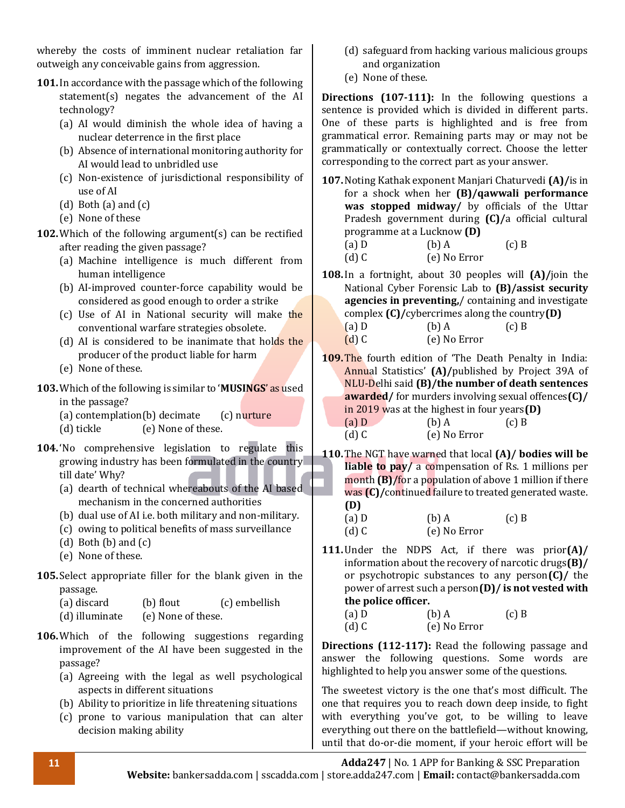whereby the costs of imminent nuclear retaliation far outweigh any conceivable gains from aggression.

- **101.**In accordance with the passage which of the following statement(s) negates the advancement of the AI technology?
	- (a) AI would diminish the whole idea of having a nuclear deterrence in the first place
	- (b) Absence of international monitoring authority for AI would lead to unbridled use
	- (c) Non-existence of jurisdictional responsibility of use of AI
	- (d) Both (a) and (c)
	- (e) None of these
- **102.**Which of the following argument(s) can be rectified after reading the given passage?
	- (a) Machine intelligence is much different from human intelligence
	- (b) AI-improved counter-force capability would be considered as good enough to order a strike
	- (c) Use of AI in National security will make the conventional warfare strategies obsolete.
	- (d) AI is considered to be inanimate that holds the producer of the product liable for harm
	- (e) None of these.
- **103.**Which of the following is similar to '**MUSINGS**' as used in the passage?
	- (a) contemplation(b) decimate  $(c)$  nurture
	- (d) tickle (e) None of these.
- **104.** 'No comprehensive legislation to regulate this growing industry has been formulated in the country till date' Why?
	- (a) dearth of technical whereabouts of the AI based mechanism in the concerned authorities
	- (b) dual use of AI i.e. both military and non-military.
	- (c) owing to political benefits of mass surveillance
	- (d) Both  $(b)$  and  $(c)$
	- (e) None of these.
- **105.** Select appropriate filler for the blank given in the passage.

| (a) discard    | (b) flout          | (c) embellish |
|----------------|--------------------|---------------|
| (d) illuminate | (e) None of these. |               |

- **106.**Which of the following suggestions regarding improvement of the AI have been suggested in the passage?
	- (a) Agreeing with the legal as well psychological aspects in different situations
	- (b) Ability to prioritize in life threatening situations
	- (c) prone to various manipulation that can alter decision making ability
- (d) safeguard from hacking various malicious groups and organization
- (e) None of these.

**Directions (107-111):** In the following questions a sentence is provided which is divided in different parts. One of these parts is highlighted and is free from grammatical error. Remaining parts may or may not be grammatically or contextually correct. Choose the letter corresponding to the correct part as your answer.

- **107.**Noting Kathak exponent Manjari Chaturvedi **(A)/**is in for a shock when her **(B)/qawwali performance was stopped midway/** by officials of the Uttar Pradesh government during **(C)/**a official cultural programme at a Lucknow **(D)**
	- (a) D (b) A (c) B (d) C (e) No Error
- **108.**In a fortnight, about 30 peoples will **(A)/**join the National Cyber Forensic Lab to **(B)/assist security agencies in preventing,**/ containing and investigate complex **(C)/**cybercrimes along the country**(D)**

| $(a)$ D | $(b)$ A      | $(c)$ B |
|---------|--------------|---------|
| $(d)$ C | (e) No Error |         |

- **109.**The fourth edition of 'The Death Penalty in India: Annual Statistics' **(A)/**published by Project 39A of NLU-Delhi said **(B)/the number of death sentences awarded/** for murders involving sexual offences**(C)/** in 2019 was at the highest in four years**(D)** (a)  $D$  (b)  $A$  (c)  $B$ (d) C (e) No Error
- **110.**The NGT have warned that local **(A)/ bodies will be liable to pay/** a compensation of Rs. 1 millions per month **(B)/**for a population of above 1 million if there was **(C)/**continued failure to treated generated waste. **(D)**
	- (a) D (b) A (c) B (d) C (e) No Error
- **111.**Under the NDPS Act, if there was prior**(A)/** information about the recovery of narcotic drugs**(B)/** or psychotropic substances to any person**(C)/** the power of arrest such a person**(D)/ is not vested with the police officer.**
	- (a) D (b) A (c) B (d) C (e) No Error

**Directions (112-117):** Read the following passage and answer the following questions. Some words are highlighted to help you answer some of the questions.

The sweetest victory is the one that's most difficult. The one that requires you to reach down deep inside, to fight with everything you've got, to be willing to leave everything out there on the battlefield—without knowing, until that do-or-die moment, if your heroic effort will be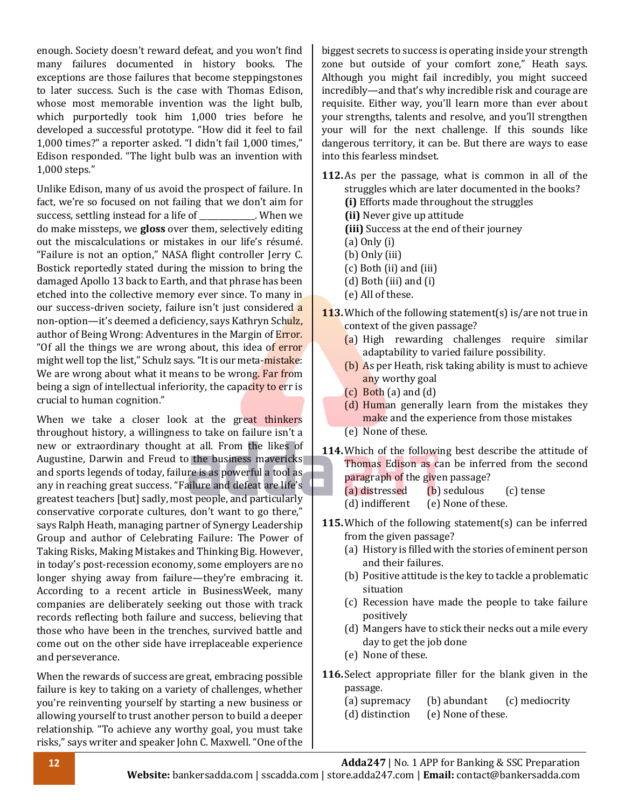enough. Society doesn't reward defeat, and you won't find many failures documented in history books. The exceptions are those failures that become steppingstones to later success. Such is the case with Thomas Edison, whose most memorable invention was the light bulb, which purportedly took him 1,000 tries before he developed a successful prototype. "How did it feel to fail 1,000 times?" a reporter asked. "I didn't fail 1,000 times," Edison responded. "The light bulb was an invention with 1,000 steps."

Unlike Edison, many of us avoid the prospect of failure. In fact, we're so focused on not failing that we don't aim for success, settling instead for a life of \_\_\_\_\_\_\_\_\_\_. When we do make missteps, we **gloss** over them, selectively editing out the miscalculations or mistakes in our life's résumé. "Failure is not an option," NASA flight controller Jerry C. Bostick reportedly stated during the mission to bring the damaged Apollo 13 back to Earth, and that phrase has been etched into the collective memory ever since. To many in our success-driven society, failure isn't just considered a non-option—it's deemed a deficiency, says Kathryn Schulz, author of Being Wrong: Adventures in the Margin of Error. "Of all the things we are wrong about, this idea of error might well top the list," Schulz says. "It is our meta-mistake: We are wrong about what it means to be wrong. Far from being a sign of intellectual inferiority, the capacity to err is crucial to human cognition."

When we take a closer look at the great thinkers throughout history, a willingness to take on failure isn't a new or extraordinary thought at all. From the likes of Augustine, Darwin and Freud to the business mavericks and sports legends of today, failure is as powerful a tool as any in reaching great success. "Failure and defeat are life's greatest teachers [but] sadly, most people, and particularly conservative corporate cultures, don't want to go there," says Ralph Heath, managing partner of Synergy Leadership Group and author of Celebrating Failure: The Power of Taking Risks, Making Mistakes and Thinking Big. However, in today's post-recession economy, some employers are no longer shying away from failure—they're embracing it. According to a recent article in BusinessWeek, many companies are deliberately seeking out those with track records reflecting both failure and success, believing that those who have been in the trenches, survived battle and come out on the other side have irreplaceable experience and perseverance.

When the rewards of success are great, embracing possible failure is key to taking on a variety of challenges, whether you're reinventing yourself by starting a new business or allowing yourself to trust another person to build a deeper relationship. "To achieve any worthy goal, you must take risks," says writer and speaker John C. Maxwell. "One of the

biggest secrets to success is operating inside your strength zone but outside of your comfort zone," Heath says. Although you might fail incredibly, you might succeed incredibly—and that's why incredible risk and courage are requisite. Either way, you'll learn more than ever about your strengths, talents and resolve, and you'll strengthen your will for the next challenge. If this sounds like dangerous territory, it can be. But there are ways to ease into this fearless mindset.

- **112.**As per the passage, what is common in all of the struggles which are later documented in the books? **(i)** Efforts made throughout the struggles **(ii)** Never give up attitude
	- **(iii)** Success at the end of their journey
	- (a) Only (i)
	- (b) Only (iii)
	- (c) Both (ii) and (iii)
	- (d) Both (iii) and (i)
	- (e) All of these.
- **113.**Which of the following statement(s) is/are not true in context of the given passage?
	- (a) High rewarding challenges require similar adaptability to varied failure possibility.
	- (b) As per Heath, risk taking ability is must to achieve any worthy goal
	- $(c)$  Both  $(a)$  and  $(d)$
	- (d) Human generally learn from the mistakes they make and the experience from those mistakes
	- (e) None of these.
- **114.**Which of the following best describe the attitude of Thomas Edison as can be inferred from the second paragraph of the given passage?
	- (a) distressed (b) sedulous (c) tense
	- (d) indifferent (e) None of these.
- **115.**Which of the following statement(s) can be inferred from the given passage?
	- (a) History is filled with the stories of eminent person and their failures.
	- (b) Positive attitude is the key to tackle a problematic situation
	- (c) Recession have made the people to take failure positively
	- (d) Mangers have to stick their necks out a mile every day to get the job done
	- (e) None of these.
- **116.** Select appropriate filler for the blank given in the passage.
	- (a) supremacy (b) abundant (c) mediocrity
	- (d) distinction (e) None of these.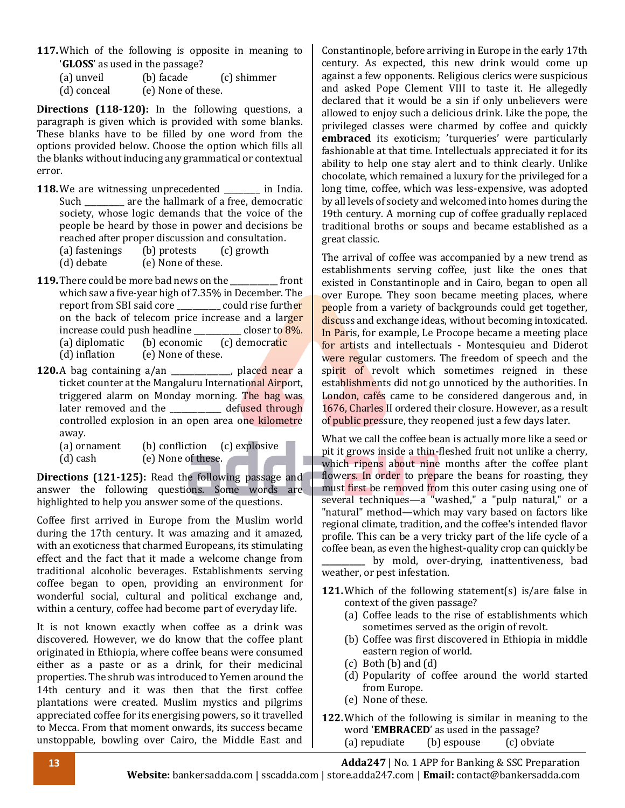**117.**Which of the following is opposite in meaning to '**GLOSS**' as used in the passage?

| (a) unveil  | (b) facade         | (c) shimmer |
|-------------|--------------------|-------------|
| (d) conceal | (e) None of these. |             |

**Directions (118-120):** In the following questions, a paragraph is given which is provided with some blanks. These blanks have to be filled by one word from the options provided below. Choose the option which fills all the blanks without inducing any grammatical or contextual error.

- **118.** We are witnessing unprecedented \_\_\_\_\_\_\_ in India. Such \_\_\_\_\_\_\_\_\_ are the hallmark of a free, democratic society, whose logic demands that the voice of the people be heard by those in power and decisions be reached after proper discussion and consultation.
	- (a) fastenings (b) protests (c) growth

(d) debate (e) None of these.

- **119.**There could be more bad news on the \_\_\_\_\_\_\_\_\_\_\_\_ front which saw a five-year high of 7.35% in December. The report from SBI said core \_\_\_\_\_\_\_\_\_\_ could rise further on the back of telecom price increase and a larger increase could push headline  $\qquad \qquad \text{closer to } 8\%.$ (a) diplomatic (b) economic (c) democratic (d) inflation (e) None of these.
- **120.**A bag containing a/an \_\_\_\_\_\_\_\_\_\_, placed near a ticket counter at the Mangaluru International Airport, triggered alarm on Monday morning. The bag was later removed and the defused through controlled explosion in an open area one kilometre away.
	- (a) ornament (b) confliction (c) explosive (d) cash (e) None of these.

**Directions (121-125):** Read the following passage and answer the following questions. Some words are highlighted to help you answer some of the questions.

Coffee first arrived in Europe from the Muslim world during the 17th century. It was amazing and it amazed, with an exoticness that charmed Europeans, its stimulating effect and the fact that it made a welcome change from traditional alcoholic beverages. Establishments serving coffee began to open, providing an environment for wonderful social, cultural and political exchange and, within a century, coffee had become part of everyday life.

It is not known exactly when coffee as a drink was discovered. However, we do know that the coffee plant originated in Ethiopia, where coffee beans were consumed either as a paste or as a drink, for their medicinal properties. The shrub was introduced to Yemen around the 14th century and it was then that the first coffee plantations were created. Muslim mystics and pilgrims appreciated coffee for its energising powers, so it travelled to Mecca. From that moment onwards, its success became unstoppable, bowling over Cairo, the Middle East and

Constantinople, before arriving in Europe in the early 17th century. As expected, this new drink would come up against a few opponents. Religious clerics were suspicious and asked Pope Clement VIII to taste it. He allegedly declared that it would be a sin if only unbelievers were allowed to enjoy such a delicious drink. Like the pope, the privileged classes were charmed by coffee and quickly **embraced** its exoticism; 'turqueries' were particularly fashionable at that time. Intellectuals appreciated it for its ability to help one stay alert and to think clearly. Unlike chocolate, which remained a luxury for the privileged for a long time, coffee, which was less-expensive, was adopted by all levels of society and welcomed into homes during the 19th century. A morning cup of coffee gradually replaced traditional broths or soups and became established as a great classic.

The arrival of coffee was accompanied by a new trend as establishments serving coffee, just like the ones that existed in Constantinople and in Cairo, began to open all over Europe. They soon became meeting places, where people from a variety of backgrounds could get together, discuss and exchange ideas, without becoming intoxicated. In Paris, for example, Le Procope became a meeting place for artists and intellectuals - Montesquieu and Diderot were regular customers. The freedom of speech and the spirit of revolt which sometimes reigned in these establishments did not go unnoticed by the authorities. In London, cafés came to be considered dangerous and, in 1676, Charles II ordered their closure. However, as a result of public pressure, they reopened just a few days later.

What we call the coffee bean is actually more like a seed or pit it grows inside a thin-fleshed fruit not unlike a cherry, which ripens about nine months after the coffee plant flowers. In order to prepare the beans for roasting, they must first be removed from this outer casing using one of several techniques—a "washed," a "pulp natural," or a "natural" method—which may vary based on factors like regional climate, tradition, and the coffee's intended flavor profile. This can be a very tricky part of the life cycle of a coffee bean, as even the highest-quality crop can quickly be

**\_\_\_\_\_\_\_\_\_\_\_** by mold, over-drying, inattentiveness, bad weather, or pest infestation.

- **121.**Which of the following statement(s) is/are false in context of the given passage?
	- (a) Coffee leads to the rise of establishments which sometimes served as the origin of revolt.
	- (b) Coffee was first discovered in Ethiopia in middle eastern region of world.
	- $(c)$  Both  $(b)$  and  $(d)$
	- (d) Popularity of coffee around the world started from Europe.
	- (e) None of these.
- **122.**Which of the following is similar in meaning to the word '**EMBRACED**' as used in the passage? (a) repudiate (b) espouse (c) obviate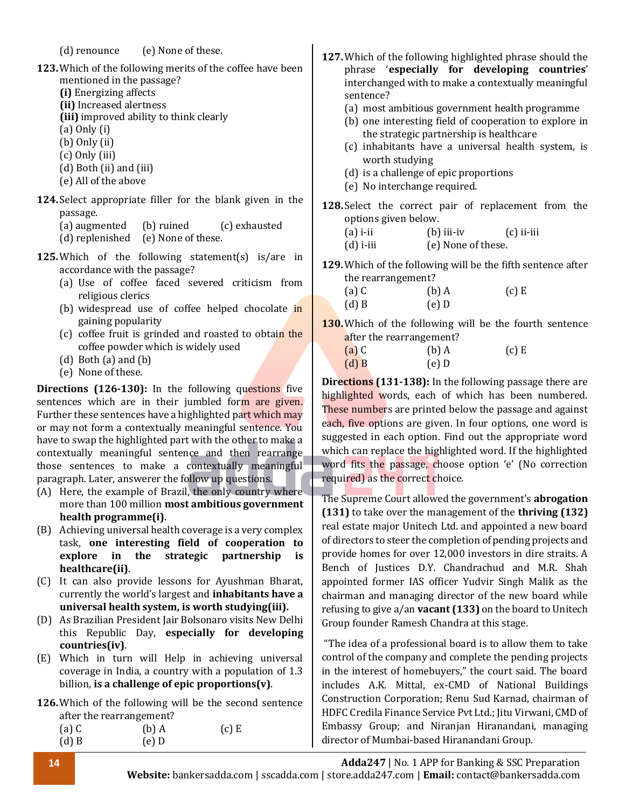(d) renounce (e) None of these.

- **123.**Which of the following merits of the coffee have been mentioned in the passage?
	- **(i)** Energizing affects
	- **(ii)** Increased alertness
	- **(iii)** improved ability to think clearly
	- (a) Only (i)
	- (b) Only (ii)
	- (c) Only (iii)
	- (d) Both (ii) and (iii)
	- (e) All of the above
- **124.** Select appropriate filler for the blank given in the passage.
	- (a) augmented (b) ruined (c) exhausted
	- (d) replenished (e) None of these.
- **125.**Which of the following statement(s) is/are in accordance with the passage?
	- (a) Use of coffee faced severed criticism from religious clerics
	- (b) widespread use of coffee helped chocolate in gaining popularity
	- (c) coffee fruit is grinded and roasted to obtain the coffee powder which is widely used
	- (d) Both (a) and (b)
	- (e) None of these.

**Directions (126-130):** In the following questions five sentences which are in their jumbled form are given. Further these sentences have a highlighted part which may or may not form a contextually meaningful sentence. You have to swap the highlighted part with the other to make a contextually meaningful sentence and then rearrange those sentences to make a contextually meaningful paragraph. Later, answerer the follow up questions.

- (A) Here, the example of Brazil, the only country where more than 100 million **most ambitious government health programme(i)**.
- (B) Achieving universal health coverage is a very complex task, **one interesting field of cooperation to explore in the strategic partnership is healthcare(ii)**.
- (C) It can also provide lessons for Ayushman Bharat, currently the world's largest and **inhabitants have a universal health system, is worth studying(iii).**
- (D) As Brazilian President Jair Bolsonaro visits New Delhi this Republic Day, **especially for developing countries(iv)**.
- (E) Which in turn will Help in achieving universal coverage in India, a country with a population of 1.3 billion, **is a challenge of epic proportions(v)**.
- **126.**Which of the following will be the second sentence after the rearrangement? (a) C (b) A (c) E (d) B (e) D
- **127.**Which of the following highlighted phrase should the phrase '**especially for developing countries**' interchanged with to make a contextually meaningful sentence?
	- (a) most ambitious government health programme
	- (b) one interesting field of cooperation to explore in the strategic partnership is healthcare
	- (c) inhabitants have a universal health system, is worth studying
	- (d) is a challenge of epic proportions
	- (e) No interchange required.
- **128.** Select the correct pair of replacement from the options given below.
	- (a) i-ii  $\qquad$  (b) iii-iv  $\qquad$  (c) ii-iii
		- (d) i-iii (e) None of these.
- **129.**Which of the following will be the fifth sentence after the rearrangement?

| $(a)$ C | $(b)$ A | $(c)$ E |
|---------|---------|---------|
| $(d)$ B | $(e)$ D |         |

**130.**Which of the following will be the fourth sentence after the rearrangement?

| $(a)$ C | $(b)$ A | $(c)$ E |
|---------|---------|---------|
| $(d)$ B | $(e)$ D |         |

**Directions (131-138):** In the following passage there are highlighted words, each of which has been numbered. These numbers are printed below the passage and against each, five options are given. In four options, one word is suggested in each option. Find out the appropriate word which can replace the highlighted word. If the highlighted word fits the passage, choose option 'e' (No correction required) as the correct choice.

The Supreme Court allowed the government's **abrogation (131)** to take over the management of the **thriving (132)** real estate major Unitech Ltd. and appointed a new board of directors to steer the completion of pending projects and provide homes for over 12,000 investors in dire straits. A Bench of Justices D.Y. Chandrachud and M.R. Shah appointed former IAS officer Yudvir Singh Malik as the chairman and managing director of the new board while refusing to give a/an **vacant (133)** on the board to Unitech Group founder Ramesh Chandra at this stage.

"The idea of a professional board is to allow them to take control of the company and complete the pending projects in the interest of homebuyers," the court said. The board includes A.K. Mittal, ex-CMD of National Buildings Construction Corporation; Renu Sud Karnad, chairman of HDFC Credila Finance Service Pvt Ltd.; Jitu Virwani, CMD of Embassy Group; and Niranjan Hiranandani, managing director of Mumbai-based Hiranandani Group.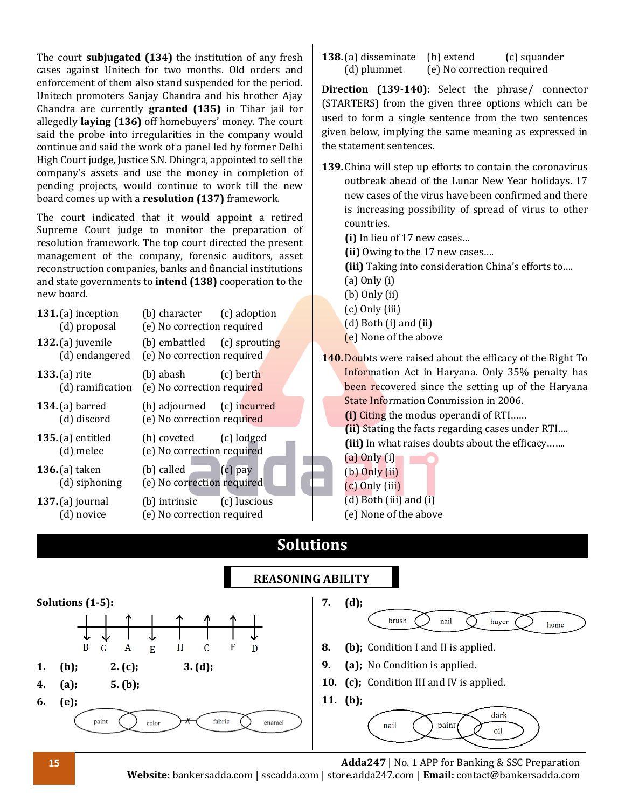The court **subjugated (134)** the institution of any fresh cases against Unitech for two months. Old orders and enforcement of them also stand suspended for the period. Unitech promoters Sanjay Chandra and his brother Ajay Chandra are currently **granted (135)** in Tihar jail for allegedly **laying (136)** off homebuyers' money. The court said the probe into irregularities in the company would continue and said the work of a panel led by former Delhi High Court judge, Justice S.N. Dhingra, appointed to sell the company's assets and use the money in completion of pending projects, would continue to work till the new board comes up with a **resolution (137)** framework.

The court indicated that it would appoint a retired Supreme Court judge to monitor the preparation of resolution framework. The top court directed the present management of the company, forensic auditors, asset reconstruction companies, banks and financial institutions and state governments to **intend (138)** cooperation to the new board.

| 131. $(a)$ inception<br>(d) proposal  | (b) character (c) adoption<br>(e) No correction required  |           |
|---------------------------------------|-----------------------------------------------------------|-----------|
| 132. $(a)$ juvenile<br>(d) endangered | (b) embattled (c) sprouting<br>(e) No correction required |           |
| 133. $(a)$ rite<br>(d) ramification   | (b) abash (c) berth<br>(e) No correction required         |           |
| 134. $(a)$ barred<br>(d) discord      | (b) adjourned (c) incurred<br>(e) No correction required  |           |
| $135$ . (a) entitled<br>(d) melee     | (b) coveted (c) lodged<br>(e) No correction required      |           |
| 136. $(a)$ taken<br>(d) siphoning     | $(b)$ called $\qquad$<br>(e) No correction required       | $(c)$ pay |
| $137$ . (a) journal<br>(d) novice     | (b) intrinsic (c) luscious<br>(e) No correction required  |           |

**138.** (a) disseminate (b) extend (c) squander (d) plummet (e) No correction required

**Direction (139-140):** Select the phrase/ connector (STARTERS) from the given three options which can be used to form a single sentence from the two sentences given below, implying the same meaning as expressed in the statement sentences.

**139.**China will step up efforts to contain the coronavirus outbreak ahead of the Lunar New Year holidays. 17 new cases of the virus have been confirmed and there is increasing possibility of spread of virus to other countries.

**(i)** In lieu of 17 new cases…

**(ii)** Owing to the 17 new cases….

**(iii)** Taking into consideration China's efforts to….

- (a) Only (i)
- (b) Only (ii)
- (c) Only (iii)
- (d) Both (i) and (ii)
- (e) None of the above
- **140.**Doubts were raised about the efficacy of the Right To Information Act in Haryana. Only 35% penalty has been recovered since the setting up of the Haryana State Information Commission in 2006.

**(i)** Citing the modus operandi of RTI……

**(ii)** Stating the facts regarding cases under RTI…. **(iii)** In what raises doubts about the efficacy…….

- (a) Only (i)
- (b) Only (ii)
- (c) Only (iii)
- (d) Both (iii) and  $(i)$
- (e) None of the above

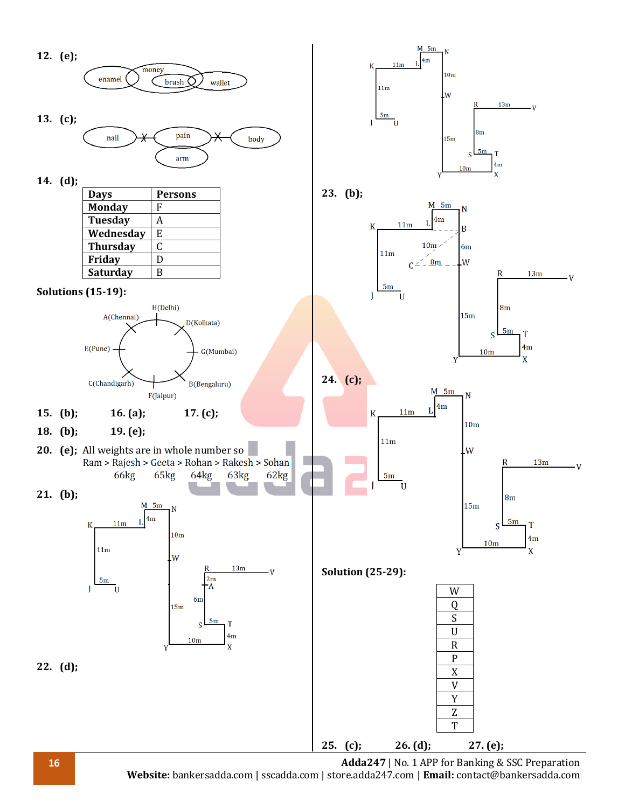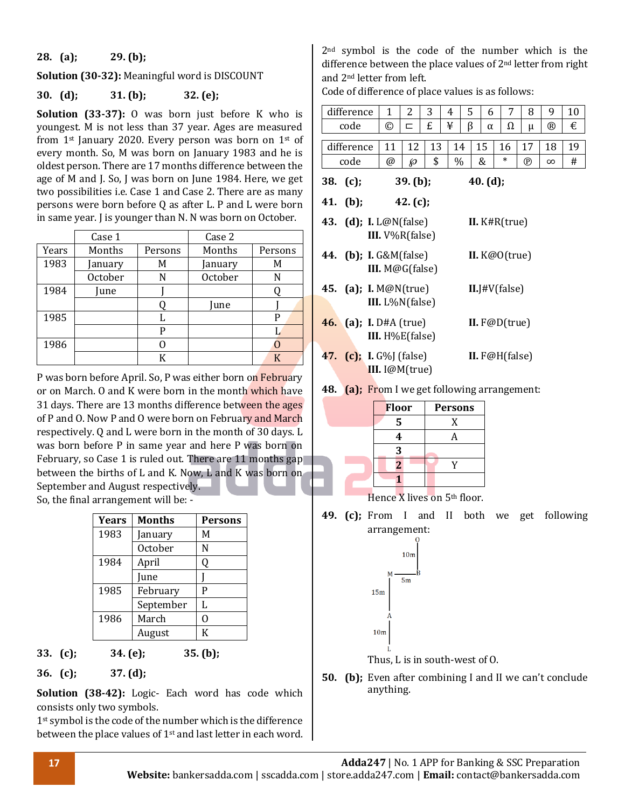#### **28. (a); 29. (b);**

**Solution (30-32):** Meaningful word is DISCOUNT

#### **30. (d); 31. (b); 32. (e);**

**Solution (33-37):** O was born just before K who youngest. M is not less than 37 year. Ages are measure from  $1$ <sup>st</sup> January 2020. Every person was born on  $1$ <sup>st</sup> of every month. So, M was born on January 1983 and he oldest person. There are 17 months difference between th age of M and J. So, J was born on June 1984. Here, we go two possibilities i.e. Case 1 and Case 2. There are as man persons were born before Q as after L. P and L were bor in same year. J is younger than N. N was born on October.

|       | Case 1  |         | Case 2  |         |
|-------|---------|---------|---------|---------|
| Years | Months  | Persons | Months  | Persons |
| 1983  | January | M       | January | M       |
|       | October | N       | October | N       |
| 1984  | Iune    |         |         |         |
|       |         |         | Iune    |         |
| 1985  |         |         |         | P       |
|       |         | p       |         |         |
| 1986  |         |         |         |         |
|       |         | K       |         |         |

P was born before April. So, P was either born on February or on March. O and K were born in the month which have 31 days. There are 13 months difference between the ages of P and O. Now P and O were born on February and March respectively. Q and L were born in the month of 30 days. L was born before P in same year and here P was born on February, so Case 1 is ruled out. There are 11 months gap between the births of L and K. Now, L and K was born on September and August respectively. So, the final arrangement will be: -

| Years | <b>Months</b> | Persons |
|-------|---------------|---------|
| 1983  | January       | М       |
|       | October       | N       |
| 1984  | April         | 0       |
|       | June          |         |
| 1985  | February      | P       |
|       | September     | L       |
| 1986  | March         | O       |
|       | August        | К       |

**33. (c); 34. (e); 35. (b);**

**36. (c); 37. (d);**

**Solution (38-42):** Logic- Each word has code which consists only two symbols.

1<sup>st</sup> symbol is the code of the number which is the difference between the place values of 1<sup>st</sup> and last letter in each word.

2nd symbol is the code of the number which is the difference between the place values of 2nd letter from right and 2nd letter from left.

Code of difference of place values is as follows:

| is       |          | difference                     | $\mathbf{1}$       | 2           | 3  | 4    | 5 | 6        | 7                | 8              | 9            | 10 |
|----------|----------|--------------------------------|--------------------|-------------|----|------|---|----------|------------------|----------------|--------------|----|
| d        |          | code                           | ©                  | ⊏           | £  | ¥    | β | α        | Ω                | μ              | $^\circledR$ | €  |
| эf       |          |                                |                    |             |    |      |   |          |                  |                |              |    |
| is       |          | difference                     | 11                 | 12          | 13 | 14   |   | 15       | 16               | 17             | 18           | 19 |
| ιe       |          | code                           | @                  | sд          | \$ | $\%$ |   | &        | $\ast$           | $^{\circledR}$ | $\infty$     | #  |
| эt<br>ιy | 38. (c); |                                |                    | 39. (b);    |    |      |   | 40. (d); |                  |                |              |    |
| 'n       | 41. (b); |                                |                    | 42. $(c)$ ; |    |      |   |          |                  |                |              |    |
| Ċ,       |          | 43. (d); I. L@N(false)         |                    |             |    |      |   |          | II. $K#R(true)$  |                |              |    |
|          |          |                                | III. $V\%R(false)$ |             |    |      |   |          |                  |                |              |    |
|          |          | <b>44.</b> (b); I. G&M(false)  |                    |             |    |      |   |          | II. K@O(true)    |                |              |    |
|          |          |                                | III. M@G(false)    |             |    |      |   |          |                  |                |              |    |
|          |          | 45. (a); I. $M@N$ (true)       |                    |             |    |      |   |          | II.J#V(false)    |                |              |    |
|          |          |                                | III. L%N(false)    |             |    |      |   |          |                  |                |              |    |
|          |          | <b>46.</b> (a); I. D#A (true)  |                    |             |    |      |   |          | II. $F@D(true)$  |                |              |    |
|          |          |                                | III. H%E(false)    |             |    |      |   |          |                  |                |              |    |
|          |          | <b>47.</b> (c); I. G%J (false) |                    |             |    |      |   |          | II. $F@H(false)$ |                |              |    |
|          |          |                                | III. I@M(true)     |             |    |      |   |          |                  |                |              |    |

**48. (a);** From I we get following arrangement:

|     | <b>Floor</b>   | <b>Persons</b>           |
|-----|----------------|--------------------------|
|     | 5              | X                        |
|     | 4              |                          |
|     | 3              |                          |
|     | $\overline{2}$ |                          |
|     |                |                          |
| - - | -- - -         | <b>Section</b><br>$\sim$ |

Hence X lives on 5th floor.

**49. (c);** From I and II both we get following arrangement:



**50. (b);** Even after combining I and II we can't conclude anything.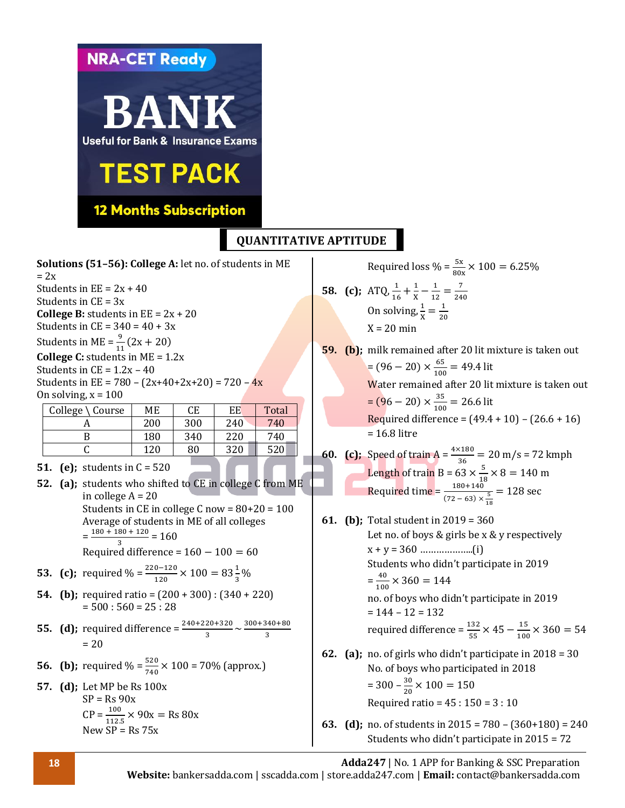**NRA-CET Ready** ANK **Useful for Bank & Insurance Exams TEST PACK 12 Months Subscription QUANTITATIVE APTITUDESolutions (51–56): College A:** let no. of students in ME  $= 2x$ Students in  $EE = 2x + 40$ Students in  $CE = 3x$ **College B:** students in  $EE = 2x + 20$ Students in  $CE = 340 = 40 + 3x$ Students in ME =  $\frac{9}{11}(2x + 20)$ **College C:** students in ME = 1.2x Students in  $CE = 1.2x - 40$ Students in EE =  $780 - (2x+40+2x+20) = 720 - 4x$ On solving,  $x = 100$  $\text{College} \setminus \text{Course}$   $\text{ME}$   $\text{CE}$   $\text{EE}$   $\text{Total}$ A 200 300 240 740 B 180 340 220 740  $C \begin{array}{|c|c|c|c|c|c|c|c|} \hline \end{array}$  (120 | 80 | 320 | 520 **51. (e);** students in C = 520 **52. (a);** students who shifted to CE in college C from ME in college A = 20 Students in CE in college C now = 80+20 = 100 Average of students in ME of all colleges  $=\frac{180+180+120}{2}$  $\frac{30 + 120}{3} = 160$ Required difference =  $160 - 100 = 60$ **53. (c);** required % =  $\frac{220-120}{120} \times 100 = 83\frac{1}{3}\%$ **54. (b);** required ratio = (200 + 300) : (340 + 220)  $= 500 : 560 = 25 : 28$ 

**55. (d);** required difference  $=\frac{240+220+320}{3} \sim \frac{300+340+80}{3}$ 3  $= 20$ 

**56. (b);** required % = 
$$
\frac{520}{740} \times 100 = 70\%
$$
 (approx.)

**57. (d);** Let MP be Rs 100x  $SP = Rs 90x$  $CP = \frac{100}{112.5} \times 90x = \text{Rs } 80x$ New  $SP = Rs 75x$ 

Required loss % =  $\frac{5x}{80x} \times 100 = 6.25\%$ **58.** (c);  $ATQ, \frac{1}{16} + \frac{1}{X}$  $\frac{1}{x} - \frac{1}{12}$  $\frac{1}{12} = \frac{7}{24}$ 240 On solving,  $\frac{1}{x} = \frac{1}{20}$ 20  $X = 20$  min

**59. (b);** milk remained after 20 lit mixture is taken out  $=(96-20)\times\frac{65}{100}$  $\frac{100}{100}$  = 49.4 lit Water remained after 20 lit mixture is taken out  $=(96-20)\times\frac{35}{100}$  $\frac{33}{100}$  = 26.6 lit Required difference =  $(49.4 + 10) - (26.6 + 16)$ = 16.8 litre

**60. (c);** Speed of train  $A = \frac{4 \times 180}{36} = 20$  m/s = 72 kmph Length of train B = 63  $\times \frac{5}{16}$  $\frac{3}{18} \times 8 = 140 \text{ m}$ Required time =  $\frac{180+140}{(72-63) \times \frac{5}{16}}$ 18  $= 128$  sec

- **61. (b);** Total student in 2019 = 360 Let no. of boys & girls be x & y respectively x + y = 360 ………………..(i) Students who didn't participate in 2019  $=\frac{40}{100}$  $\frac{40}{100}$  × 360 = 144 no. of boys who didn't participate in 2019  $= 144 - 12 = 132$ required difference =  $\frac{132}{55} \times 45 - \frac{15}{100}$  $\frac{15}{100}$  × 360 = 54 **62. (a);** no. of girls who didn't participate in 2018 = 30 No. of boys who participated in 2018  $= 300 - \frac{30}{30}$  $\frac{30}{20}$  × 100 = 150 Required ratio =  $45 : 150 = 3 : 10$
- **63. (d);** no. of students in 2015 = 780 (360+180) = 240 Students who didn't participate in 2015 = 72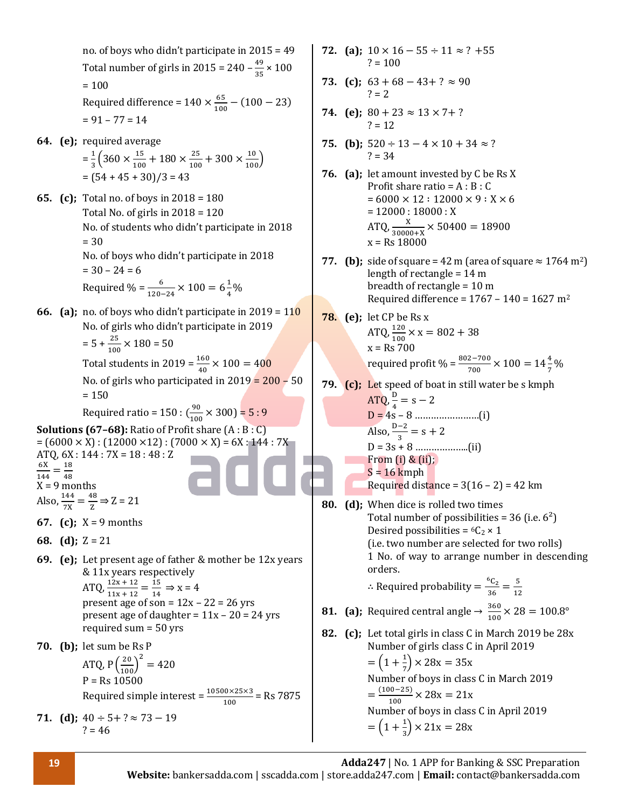no. of boys who didn't participate in 2015 = 49 Total number of girls in 2015 = 240  $-\frac{49}{35}$  $\frac{49}{35} \times 100$  $= 100$ Required difference =  $140 \times \frac{65}{100}$  $\frac{65}{100}$  – (100 – 23)  $= 91 - 77 = 14$ **64. (e);** required average  $=\frac{1}{2}$  $\frac{1}{3}$  $\left(360 \times \frac{15}{100}\right)$  $\frac{15}{100} + 180 \times \frac{25}{100}$  $\frac{25}{100} + 300 \times \frac{10}{100}$  $= (54 + 45 + 30)/3 = 43$ **65. (c);** Total no. of boys in 2018 = 180 Total No. of girls in 2018 = 120 No. of students who didn't participate in 2018 = 30 No. of boys who didn't participate in 2018  $= 30 - 24 = 6$ Required % =  $\frac{6}{120-24} \times 100 = 6\frac{1}{4}$  $\frac{1}{4}$ % **66. (a);** no. of boys who didn't participate in 2019 = 110 No. of girls who didn't participate in 2019  $= 5 + \frac{25}{100} \times 180 = 50$ Total students in 2019 =  $\frac{160}{40} \times 100 = 400$ No. of girls who participated in  $2019 = 200 - 50$  $= 150$ Required ratio = 150 :  $\left(\frac{90}{100}\right)$  $\frac{90}{100}$  × 300) = 5 : 9 **Solutions (67–68):** Ratio of Profit share (A : B : C)  $= (6000 \times X) : (12000 \times 12) : (7000 \times X) = 6X : 144 : 7X$ ATQ, 6X : 144 : 7X = 18 : 48 : Z 6X  $\frac{6X}{144} = \frac{18}{48}$ 48  $X = 9$  months Also,  $\frac{144}{7X} = \frac{48}{Z}$  $\frac{18}{2}$   $\Rightarrow$  Z = 21 **67. (c);** X = 9 months **68. (d);** Z = 21 **69. (e);** Let present age of father & mother be 12x years & 11x years respectively ATQ,  $\frac{12x + 12}{11x + 12} = \frac{15}{14}$  $\frac{15}{14} \Rightarrow x = 4$ present age of son =  $12x - 22 = 26$  yrs present age of daughter =  $11x - 20 = 24$  yrs required sum = 50 yrs **70. (b);** let sum be Rs P ATQ,  $P\left(\frac{20}{100}\right)^2 = 420$  $P = Rs 10500$ Required simple interest =  $\frac{10500 \times 25 \times 3}{100}$  = Rs 7875 **71. (d)**;  $40 \div 5 + ? \approx 73 - 19$  $? = 46$  $? = 100$  $? = 2$  $? = 12$  $? = 34$ orders.  $= (1 + \frac{1}{7})$ 

**72. (a)**;  $10 \times 16 - 55 \div 11 \approx ? + 55$ 

- **73. (c)**;  $63 + 68 43 + ? \approx 90$
- **74.** (e);  $80 + 23 \approx 13 \times 7 + ?$
- 75. **(b)**;  $520 \div 13 4 \times 10 + 34 \approx ?$
- **76. (a);** let amount invested by C be Rs X Profit share ratio =  $A : B : C$  $= 6000 \times 12 : 12000 \times 9 : X \times 6$  $= 12000 : 18000 : X$ ATQ,  $\frac{X}{30000+X} \times 50400 = 18900$  $v = Re \, 18000$
- **77. (b)**; side of square = 42 m (area of square  $\approx 1764$  m<sup>2</sup>) length of rectangle = 14 m breadth of rectangle = 10 m Required difference =  $1767 - 140 = 1627$  m<sup>2</sup>
- **78. (e);** let CP be Rs x ATQ,  $\frac{120}{100} \times x = 802 + 38$  $x =$  Rs 700 required profit % =  $\frac{802-700}{700} \times 100 = 14\frac{4}{7}\%$
- **79. (c);** Let speed of boat in still water be s kmph ATQ,  $\frac{D}{4} = s - 2$ D = 4s – 8 ……………………(i) Also,  $\frac{D-2}{3} = s + 2$ D = 3s + 8 ………………..(ii) From (i) & (ii);  $S = 16$  kmph Required distance =  $3(16 - 2) = 42$  km
- **80. (d);** When dice is rolled two times Total number of possibilities = 36 (i.e.  $6^2$ ) Desired possibilities =  ${}^6C_2 \times 1$ (i.e. two number are selected for two rolls) 1 No. of way to arrange number in descending ∴ Required probability =  $\frac{{}^{6}C_{2}}{26}$  $\frac{6C_2}{36} = \frac{5}{12}$ 12 **81.** (a); Required central angle  $\rightarrow \frac{360}{100}$  $\frac{360}{100}$  × 28 = 100.8°
- **82. (c);** Let total girls in class C in March 2019 be 28x Number of girls class C in April 2019  $(\frac{1}{7}) \times 28x = 35x$ Number of boys in class C in March 2019  $=\frac{(100-25)}{100}$  $\frac{10-25j}{100} \times 28x = 21x$ Number of boys in class C in April 2019  $=(1+\frac{1}{2})$  $\frac{1}{3}$  × 21x = 28x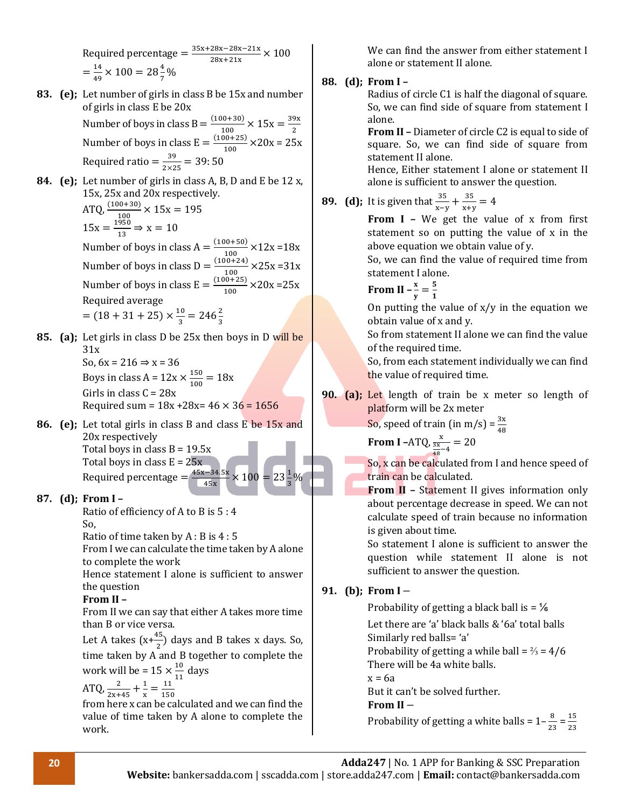Required percentage =  $\frac{35x+28x-28x-21x}{20x+24x}$  $\frac{28x-28x-21x}{28x+21x} \times 100$  $=\frac{14}{10}$  $\frac{14}{49} \times 100 = 28 \frac{4}{7}$ %

- **83. (e);** Let number of girls in class B be 15x and number of girls in class E be 20x Number of boys in class  $B = \frac{(100+30)}{100}$  $\frac{10+30}{100} \times 15x = \frac{39x}{2}$ 2 Number of boys in class  $E = \frac{(100+25)}{100}$  $\frac{10+23j}{100} \times 20x = 25x$ Required ratio =  $\frac{39}{200}$  $\frac{39}{2\times25}$  = 39:50
- **84. (e);** Let number of girls in class A, B, D and E be 12 x, 15x, 25x and 20x respectively. ATQ,  $\frac{(100+30)}{100} \times 15x = 195$  $15x = \frac{1950}{12}$  $\frac{930}{13} \Rightarrow x = 10$ Number of boys in class  $A = \frac{(100+50)}{100}$  $\frac{10+30}{100}$  × 12x = 18x Number of boys in class  $D = \frac{(100+24)}{100}$  $\frac{10+24}{100}$  × 25x = 31x Number of boys in class  $E = \frac{(100+25)}{100}$  $\frac{10+23j}{100}$  × 20x = 25x Required average  $=(18 + 31 + 25) \times \frac{10}{2}$  $\frac{10}{3}$  = 246 $\frac{2}{3}$
- **85. (a);** Let girls in class D be 25x then boys in D will be 31x So,  $6x = 216 \Rightarrow x = 36$ Boys in class A =  $12x \times \frac{150}{100}$  $\frac{150}{100} = 18x$ Girls in class  $C = 28x$

Required sum =  $18x + 28x = 46 \times 36 = 1656$ 

**86. (e);** Let total girls in class B and class E be 15x and 20x respectively Total boys in class  $B = 19.5x$ Total boys in class  $E = 25x$ Required percentage  $=\frac{45x-34.5x}{45x}$  $\frac{1-34.5x}{45x} \times 100 = 23\frac{1}{3}\%$ 

#### **87. (d); From I –**

Ratio of efficiency of A to B is 5 : 4 So,

Ratio of time taken by A : B is 4 : 5

From I we can calculate the time taken by A alone to complete the work

Hence statement I alone is sufficient to answer the question

#### **From II –**

From II we can say that either A takes more time than B or vice versa.

Let A takes  $(x+\frac{45}{2})$  days and B takes x days. So, time taken by  $\overline{A}$  and B together to complete the work will be =  $15 \times \frac{10}{14}$  $\frac{10}{11}$  days

$$
ATQ, \frac{2}{2x+45} + \frac{1}{x} = \frac{11}{150}
$$

from here x can be calculated and we can find the value of time taken by A alone to complete the work.

We can find the answer from either statement I alone or statement II alone.

#### **88. (d); From I –**

Radius of circle C1 is half the diagonal of square. So, we can find side of square from statement I alone.

**From II –** Diameter of circle C2 is equal to side of square. So, we can find side of square from statement II alone.

Hence, Either statement I alone or statement II alone is sufficient to answer the question.

#### **89. (d);** It is given that  $\frac{35}{x-y} + \frac{35}{x+y}$  $\frac{35}{x+y} = 4$

**From I –** We get the value of x from first statement so on putting the value of x in the above equation we obtain value of y.

So, we can find the value of required time from statement I alone.

From II 
$$
-\frac{x}{y} = \frac{5}{1}
$$

On putting the value of  $x/y$  in the equation we obtain value of x and y.

So from statement II alone we can find the value of the required time.

So, from each statement individually we can find the value of required time.

**90. (a);** Let length of train be x meter so length of platform will be 2x meter

So, speed of train (in m/s) =  $\frac{3x}{48}$ 

From I -ATQ, 
$$
\frac{x}{\frac{3x}{48} - 4} = 20
$$

So, x can be calculated from I and hence speed of train can be calculated.

**From II –** Statement II gives information only about percentage decrease in speed. We can not calculate speed of train because no information is given about time.

So statement I alone is sufficient to answer the question while statement II alone is not sufficient to answer the question.

#### **91. (b); From I** −

Probability of getting a black ball is  $=$   $\frac{1}{6}$ 

Let there are 'a' black balls & '6a' total balls Similarly red balls= 'a'

Probability of getting a while ball =  $\frac{2}{3}$  = 4/6 There will be 4a white balls.

 $x = 6a$ 

But it can't be solved further.

#### **From II** −

Probability of getting a white balls =  $1-\frac{8}{3}$  $\frac{8}{23} = \frac{15}{23}$  $rac{15}{23}$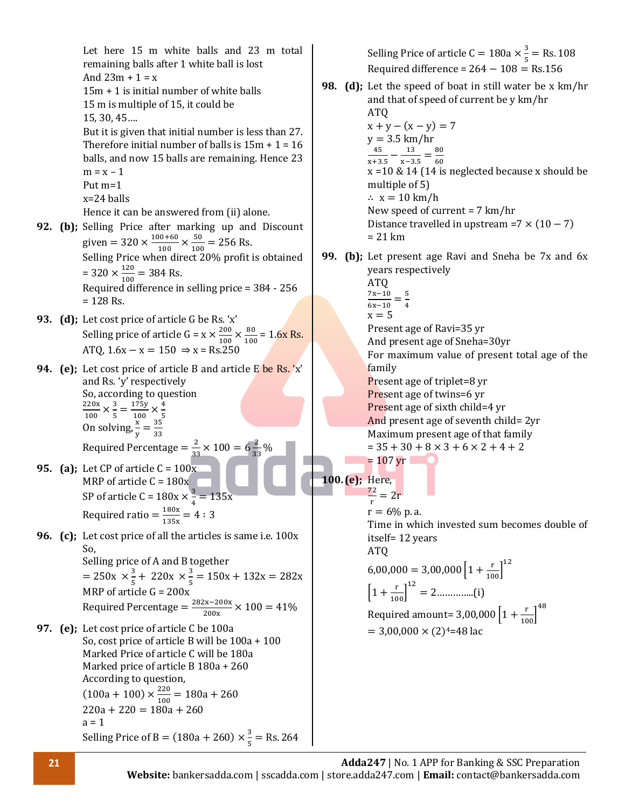Let here 15 m white balls and 23 m total remaining balls after 1 white ball is lost And  $23m + 1 = x$ 15m + 1 is initial number of white balls 15 m is multiple of 15, it could be 15, 30, 45…. But it is given that initial number is less than 27. Therefore initial number of balls is  $15m + 1 = 16$ balls, and now 15 balls are remaining. Hence 23  $m = x - 1$ Put m=1 x=24 balls Hence it can be answered from (ii) alone. **92. (b);** Selling Price after marking up and Discount given =  $320 \times \frac{100+60}{100}$  $\frac{100+60}{100} \times \frac{50}{100}$  $\frac{30}{100}$  = 256 Rs. Selling Price when direct 20% profit is obtained  $= 320 \times \frac{120}{120}$  $\frac{120}{100}$  = 384 Rs. Required difference in selling price = 384 - 256  $= 128$  Rs. **93. (d);** Let cost price of article G be Rs. 'x' Selling price of article  $G = x \times \frac{200}{400}$  $\frac{200}{100} \times \frac{80}{100}$  $\frac{60}{100}$  = 1.6x Rs. ATO,  $1.6x - x = 150 \Rightarrow x = \text{Rs.25}$ **94. (e);** Let cost price of article B and article E be Rs. 'x' and Rs. 'y' respectively So, according to question 220x  $\frac{220x}{100} \times \frac{3}{5}$  $\frac{3}{5} = \frac{175y}{100}$  $\frac{175y}{100} \times \frac{4}{5}$ 100 5 100 5<br>On solving,  $\frac{x}{y} = \frac{35}{33}$ 33 Required Percentage =  $\frac{2}{\gamma}$  $\frac{2}{33} \times 100 = 6 \frac{2}{35}$  $\frac{2}{33}$ % **95. (a);** Let CP of article C = 100x MRP of article  $C = 180x$ SP of article C =  $180x \times \frac{3}{4}$  $\frac{3}{4}$  = 135x Required ratio =  $\frac{180x}{105}$  $\frac{180x}{135x} = 4:3$ **96. (c);** Let cost price of all the articles is same i.e. 100x So, Selling price of A and B together  $= 250x \times \frac{3}{5}$  $\frac{3}{5}$  + 220x  $\times \frac{3}{5}$  $\frac{3}{5}$  = 150x + 132x = 282x MRP of article  $G = 200x$ Required Percentage =  $\frac{282x-200x}{288}$  $\frac{x^2-200x}{200x} \times 100 = 41\%$ **97. (e);** Let cost price of article C be 100a So, cost price of article B will be 100a + 100 Marked Price of article C will be 180a Marked price of article B 180a + 260 According to question,  $(100a + 100) \times \frac{220}{100}$  $\frac{220}{100}$  = 180a + 260  $220a + 220 = 180a + 260$  $a = 1$ Selling Price of B =  $(180a + 260) \times \frac{3}{5}$  $\frac{5}{5}$  = Rs. 264 Selling Price of article C = 180a  $\times \frac{3}{5}$ Required difference =  $264 - 108 =$  Rs.156 **98. (d);** Let the speed of boat in still water be x km/hr and that of speed of current be y km/hr ATQ  $x + y - (x - y) = 7$  $v = 3.5$  km/hr 45  $\frac{45}{x+3.5} - \frac{13}{x-3}$  $\frac{13}{x-3.5} = \frac{80}{60}$ 60 x =10 & 14 (14 is neglected because x should be multiple of 5) ∴ x = 10 km/h New speed of current = 7 km/hr Distance travelled in upstream =7  $\times$  (10 – 7) = 21 km **99. (b);** Let present age Ravi and Sneha be 7x and 6x years respectively ATQ 7x−10 6x−10 = 5 4  $x = 5$ Present age of Ravi=35 yr And present age of Sneha=30yr For maximum value of present total age of the family Present age of triplet=8 yr Present age of twins=6 yr Present age of sixth child=4 yr And present age of seventh child= 2yr Maximum present age of that family  $= 35 + 30 + 8 \times 3 + 6 \times 2 + 4 + 2$  $= 107$  yr **100. (e);** Here, 72  $\frac{2}{r}$  = 2r  $r = 6\%$  p. a. Time in which invested sum becomes double of itself= 12 years ATQ  $6,00,000 = 3,00,000 \left[1 + \frac{\text{r}}{100}\right]^{12}$ [1 + r <sup>100</sup>] 12 = 2…………..(i) Required amount=  $3,00,000\left[1+\frac{\text{r}}{100}\right]^{48}$  $= 3,00,000 \times (2)^{4} = 48$  lac

 $\frac{5}{5}$  = Rs. 108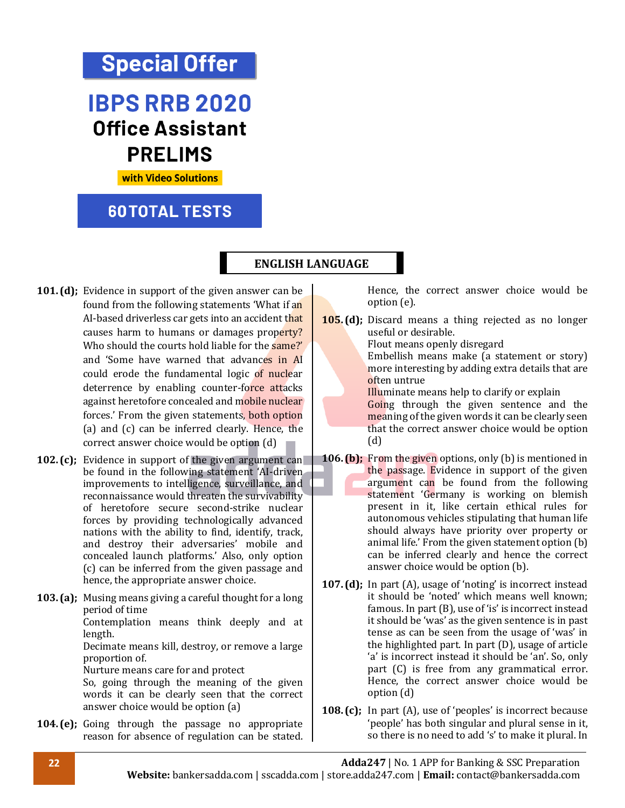# **Special Offer**

# **IBPS RRB 2020 Office Assistant PRELIMS**

**with Video Solutions** 

### **60TOTAL TESTS**

#### **ENGLISH LANGUAGE**

- **101. (d);** Evidence in support of the given answer can be found from the following statements 'What if an AI-based driverless car gets into an accident that causes harm to humans or damages property? Who should the courts hold liable for the same?' and 'Some have warned that advances in AI could erode the fundamental logic of nuclear deterrence by enabling counter-force attacks against heretofore concealed and mobile nuclear forces.' From the given statements, both option (a) and (c) can be inferred clearly. Hence, the correct answer choice would be option (d)
- **102. (c);** Evidence in support of the given argument can be found in the following statement 'AI-driven improvements to intelligence, surveillance, and reconnaissance would threaten the survivability of heretofore secure second-strike nuclear forces by providing technologically advanced nations with the ability to find, identify, track, and destroy their adversaries' mobile and concealed launch platforms.' Also, only option (c) can be inferred from the given passage and hence, the appropriate answer choice.
- **103. (a);** Musing means giving a careful thought for a long period of time Contemplation means think deeply and at length. Decimate means kill, destroy, or remove a large proportion of. Nurture means care for and protect So, going through the meaning of the given words it can be clearly seen that the correct answer choice would be option (a)
- **104. (e);** Going through the passage no appropriate reason for absence of regulation can be stated.

Hence, the correct answer choice would be option (e).

**105. (d);** Discard means a thing rejected as no longer useful or desirable.

Flout means openly disregard

Embellish means make (a statement or story) more interesting by adding extra details that are often untrue

Illuminate means help to clarify or explain

Going through the given sentence and the meaning of the given words it can be clearly seen that the correct answer choice would be option (d)

- **106. (b);** From the given options, only (b) is mentioned in the passage. Evidence in support of the given argument can be found from the following statement 'Germany is working on blemish present in it, like certain ethical rules for autonomous vehicles stipulating that human life should always have priority over property or animal life.' From the given statement option (b) can be inferred clearly and hence the correct answer choice would be option (b).
- **107. (d);** In part (A), usage of 'noting' is incorrect instead it should be 'noted' which means well known; famous. In part (B), use of 'is' is incorrect instead it should be 'was' as the given sentence is in past tense as can be seen from the usage of 'was' in the highlighted part. In part (D), usage of article 'a' is incorrect instead it should be 'an'. So, only part (C) is free from any grammatical error. Hence, the correct answer choice would be option (d)
- **108. (c);** In part (A), use of 'peoples' is incorrect because 'people' has both singular and plural sense in it, so there is no need to add 's' to make it plural. In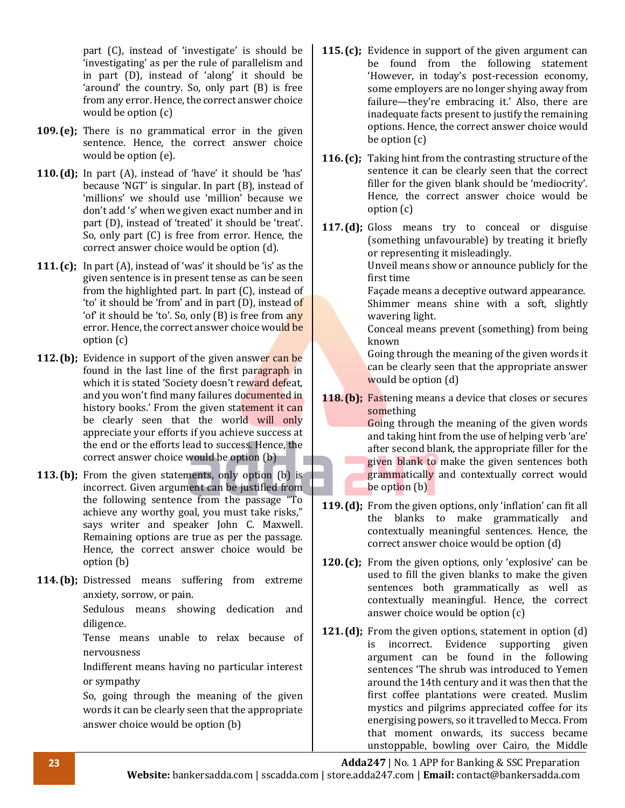part (C), instead of 'investigate' is should be 'investigating' as per the rule of parallelism and in part (D), instead of 'along' it should be 'around' the country. So, only part (B) is free from any error. Hence, the correct answer choice would be option (c)

- **109. (e);** There is no grammatical error in the given sentence. Hence, the correct answer choice would be option (e).
- **110. (d);** In part (A), instead of 'have' it should be 'has' because 'NGT' is singular. In part (B), instead of 'millions' we should use 'million' because we don't add 's' when we given exact number and in part (D), instead of 'treated' it should be 'treat'. So, only part (C) is free from error. Hence, the correct answer choice would be option (d).
- **111. (c);** In part (A), instead of 'was' it should be 'is' as the given sentence is in present tense as can be seen from the highlighted part. In part (C), instead of 'to' it should be 'from' and in part (D), instead of 'of' it should be 'to'. So, only (B) is free from any error. Hence, the correct answer choice would be option (c)
- **112. (b);** Evidence in support of the given answer can be found in the last line of the first paragraph in which it is stated 'Society doesn't reward defeat, and you won't find many failures documented in history books.' From the given statement it can be clearly seen that the world will only appreciate your efforts if you achieve success at the end or the efforts lead to success. Hence, the correct answer choice would be option (b)
- **113. (b);** From the given statements, only option (b) is incorrect. Given argument can be justified from the following sentence from the passage "To achieve any worthy goal, you must take risks," says writer and speaker John C. Maxwell. Remaining options are true as per the passage. Hence, the correct answer choice would be option (b)
- **114. (b);** Distressed means suffering from extreme anxiety, sorrow, or pain.

Sedulous means showing dedication and diligence.

Tense means unable to relax because of nervousness

Indifferent means having no particular interest or sympathy

So, going through the meaning of the given words it can be clearly seen that the appropriate answer choice would be option (b)

- **115. (c);** Evidence in support of the given argument can be found from the following statement 'However, in today's post-recession economy, some employers are no longer shying away from failure—they're embracing it.' Also, there are inadequate facts present to justify the remaining options. Hence, the correct answer choice would be option (c)
- **116. (c);** Taking hint from the contrasting structure of the sentence it can be clearly seen that the correct filler for the given blank should be 'mediocrity'. Hence, the correct answer choice would be option (c)
- **117. (d);** Gloss means try to conceal or disguise (something unfavourable) by treating it briefly or representing it misleadingly.

Unveil means show or announce publicly for the first time

Façade means a deceptive outward appearance. Shimmer means shine with a soft, slightly wavering light.

Conceal means prevent (something) from being known

Going through the meaning of the given words it can be clearly seen that the appropriate answer would be option (d)

**118. (b);** Fastening means a device that closes or secures something

Going through the meaning of the given words and taking hint from the use of helping verb 'are' after second blank, the appropriate filler for the given blank to make the given sentences both grammatically and contextually correct would be option (b)

- **119. (d);** From the given options, only 'inflation' can fit all the blanks to make grammatically and contextually meaningful sentences. Hence, the correct answer choice would be option (d)
- **120. (c);** From the given options, only 'explosive' can be used to fill the given blanks to make the given sentences both grammatically as well as contextually meaningful. Hence, the correct answer choice would be option (c)
- **121. (d);** From the given options, statement in option (d) is incorrect. Evidence supporting given argument can be found in the following sentences 'The shrub was introduced to Yemen around the 14th century and it was then that the first coffee plantations were created. Muslim mystics and pilgrims appreciated coffee for its energising powers, so it travelled to Mecca. From that moment onwards, its success became unstoppable, bowling over Cairo, the Middle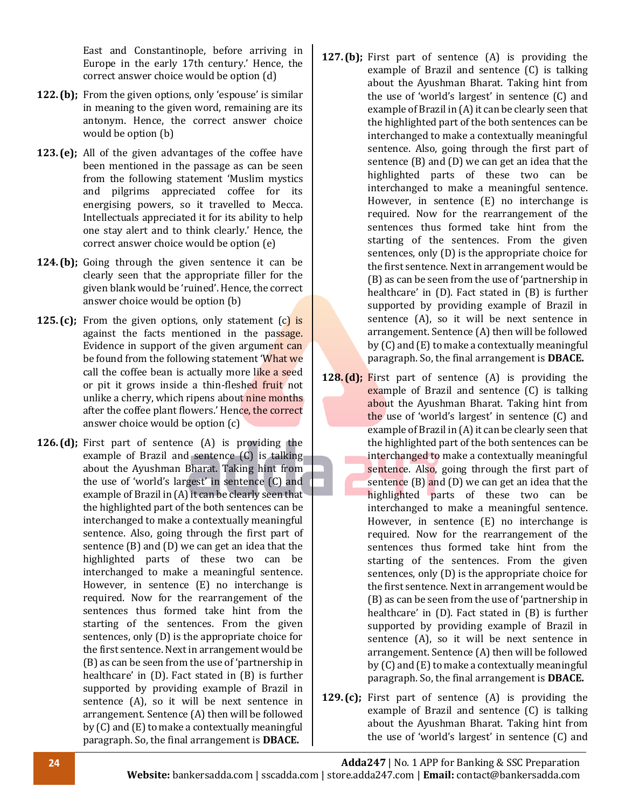East and Constantinople, before arriving in Europe in the early 17th century.' Hence, the correct answer choice would be option (d)

- **122. (b);** From the given options, only 'espouse' is similar in meaning to the given word, remaining are its antonym. Hence, the correct answer choice would be option (b)
- **123. (e);** All of the given advantages of the coffee have been mentioned in the passage as can be seen from the following statement 'Muslim mystics and pilgrims appreciated coffee for its energising powers, so it travelled to Mecca. Intellectuals appreciated it for its ability to help one stay alert and to think clearly.' Hence, the correct answer choice would be option (e)
- **124. (b);** Going through the given sentence it can be clearly seen that the appropriate filler for the given blank would be 'ruined'. Hence, the correct answer choice would be option (b)
- **125.** (c); From the given options, only statement (c) is against the facts mentioned in the passage. Evidence in support of the given argument can be found from the following statement 'What we call the coffee bean is actually more like a seed or pit it grows inside a thin-fleshed fruit not unlike a cherry, which ripens about nine months after the coffee plant flowers.' Hence, the correct answer choice would be option (c)
- **126. (d);** First part of sentence (A) is providing the example of Brazil and sentence (C) is talking about the Ayushman Bharat. Taking hint from the use of 'world's largest' in sentence (C) and example of Brazil in (A) it can be clearly seen that the highlighted part of the both sentences can be interchanged to make a contextually meaningful sentence. Also, going through the first part of sentence (B) and (D) we can get an idea that the highlighted parts of these two can be interchanged to make a meaningful sentence. However, in sentence (E) no interchange is required. Now for the rearrangement of the sentences thus formed take hint from the starting of the sentences. From the given sentences, only (D) is the appropriate choice for the first sentence. Next in arrangement would be (B) as can be seen from the use of 'partnership in healthcare' in (D). Fact stated in (B) is further supported by providing example of Brazil in sentence (A), so it will be next sentence in arrangement. Sentence (A) then will be followed by (C) and (E) to make a contextually meaningful paragraph. So, the final arrangement is **DBACE.**
- **127. (b);** First part of sentence (A) is providing the example of Brazil and sentence (C) is talking about the Ayushman Bharat. Taking hint from the use of 'world's largest' in sentence (C) and example of Brazil in (A) it can be clearly seen that the highlighted part of the both sentences can be interchanged to make a contextually meaningful sentence. Also, going through the first part of sentence (B) and (D) we can get an idea that the highlighted parts of these two can be interchanged to make a meaningful sentence. However, in sentence (E) no interchange is required. Now for the rearrangement of the sentences thus formed take hint from the starting of the sentences. From the given sentences, only (D) is the appropriate choice for the first sentence. Next in arrangement would be (B) as can be seen from the use of 'partnership in healthcare' in (D). Fact stated in (B) is further supported by providing example of Brazil in sentence (A), so it will be next sentence in arrangement. Sentence (A) then will be followed by (C) and (E) to make a contextually meaningful paragraph. So, the final arrangement is **DBACE.**
- **128. (d);** First part of sentence (A) is providing the example of Brazil and sentence (C) is talking about the Ayushman Bharat. Taking hint from the use of 'world's largest' in sentence (C) and example of Brazil in (A) it can be clearly seen that the highlighted part of the both sentences can be interchanged to make a contextually meaningful sentence. Also, going through the first part of sentence  $(B)$  and  $(D)$  we can get an idea that the highlighted parts of these two can be interchanged to make a meaningful sentence. However, in sentence (E) no interchange is required. Now for the rearrangement of the sentences thus formed take hint from the starting of the sentences. From the given sentences, only (D) is the appropriate choice for the first sentence. Next in arrangement would be (B) as can be seen from the use of 'partnership in healthcare' in (D). Fact stated in (B) is further supported by providing example of Brazil in sentence (A), so it will be next sentence in arrangement. Sentence (A) then will be followed by (C) and (E) to make a contextually meaningful paragraph. So, the final arrangement is **DBACE.**
- **129. (c);** First part of sentence (A) is providing the example of Brazil and sentence (C) is talking about the Ayushman Bharat. Taking hint from the use of 'world's largest' in sentence (C) and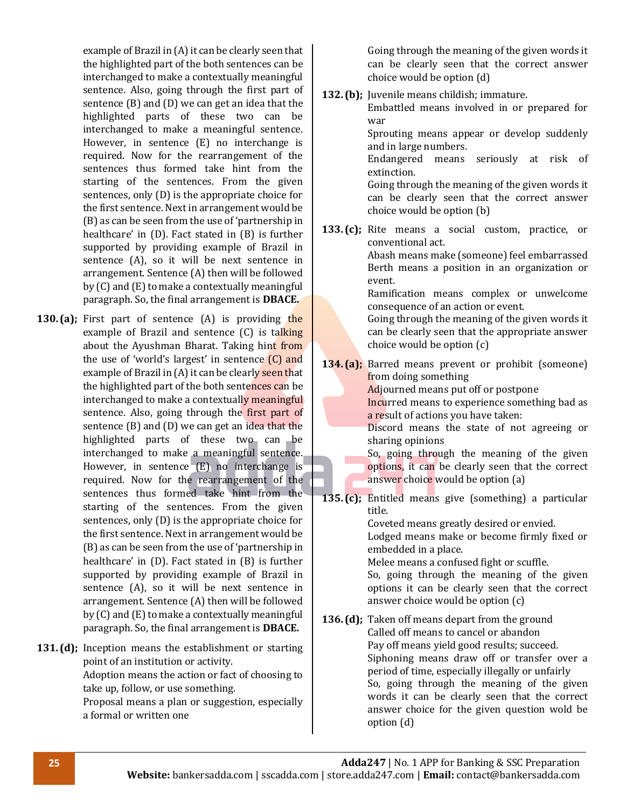example of Brazil in (A) it can be clearly seen that the highlighted part of the both sentences can be interchanged to make a contextually meaningful sentence. Also, going through the first part of sentence (B) and (D) we can get an idea that the highlighted parts of these two can be interchanged to make a meaningful sentence. However, in sentence (E) no interchange is required. Now for the rearrangement of the sentences thus formed take hint from the starting of the sentences. From the given sentences, only (D) is the appropriate choice for the first sentence. Next in arrangement would be (B) as can be seen from the use of 'partnership in healthcare' in (D). Fact stated in (B) is further supported by providing example of Brazil in sentence (A), so it will be next sentence in arrangement. Sentence (A) then will be followed by (C) and (E) to make a contextually meaningful paragraph. So, the final arrangement is **DBACE.** 

- **130.** (a); First part of sentence (A) is providing the example of Brazil and sentence (C) is talking about the Ayushman Bharat. Taking hint from the use of 'world's largest' in sentence (C) and example of Brazil in (A) it can be clearly seen that the highlighted part of the both sentences can be interchanged to make a contextually meaningful sentence. Also, going through the first part of sentence (B) and (D) we can get an idea that the highlighted parts of these two can be interchanged to make a meaningful sentence. However, in sentence (E) no interchange is required. Now for the rearrangement of the sentences thus formed take hint from the starting of the sentences. From the given sentences, only (D) is the appropriate choice for the first sentence. Next in arrangement would be (B) as can be seen from the use of 'partnership in healthcare' in (D). Fact stated in (B) is further supported by providing example of Brazil in sentence (A), so it will be next sentence in arrangement. Sentence (A) then will be followed by (C) and (E) to make a contextually meaningful paragraph. So, the final arrangement is **DBACE.**
- **131. (d);** Inception means the establishment or starting point of an institution or activity. Adoption means the action or fact of choosing to take up, follow, or use something. Proposal means a plan or suggestion, especially a formal or written one

Going through the meaning of the given words it can be clearly seen that the correct answer choice would be option (d)

**132. (b);** Juvenile means childish; immature. Embattled means involved in or prepared for war Sprouting means appear or develop suddenly and in large numbers. Endangered means seriously at risk of extinction. Going through the meaning of the given words it can be clearly seen that the correct answer choice would be option (b) **133. (c);** Rite means a social custom, practice, or

> conventional act. Abash means make (someone) feel embarrassed Berth means a position in an organization or event.

Ramification means complex or unwelcome consequence of an action or event.

Going through the meaning of the given words it can be clearly seen that the appropriate answer choice would be option (c)

134. (a); Barred means prevent or prohibit (someone) from doing something

Adjourned means put off or postpone

Incurred means to experience something bad as a result of actions you have taken:

Discord means the state of not agreeing or sharing opinions

So, going through the meaning of the given options, it can be clearly seen that the correct answer choice would be option (a)

**135. (c);** Entitled means give (something) a particular title.

Coveted means greatly desired or envied.

Lodged means make or become firmly fixed or embedded in a place.

Melee means a confused fight or scuffle.

So, going through the meaning of the given options it can be clearly seen that the correct answer choice would be option (c)

**136. (d);** Taken off means depart from the ground Called off means to cancel or abandon Pay off means yield good results; succeed. Siphoning means draw off or transfer over a period of time, especially illegally or unfairly So, going through the meaning of the given words it can be clearly seen that the correct answer choice for the given question wold be option (d)